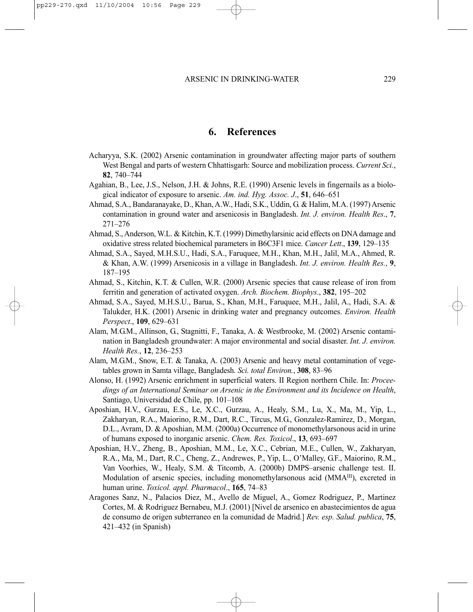## **6. References**

- Acharyya, S.K. (2002) Arsenic contamination in groundwater affecting major parts of southern West Bengal and parts of western Chhattisgarh: Source and mobilization process. *Current Sci.*, **82**, 740–744
- Agahian, B., Lee, J.S., Nelson, J.H. & Johns, R.E. (1990) Arsenic levels in fingernails as a biological indicator of exposure to arsenic. *Am. ind. Hyg. Assoc. J*., **51**, 646–651
- Ahmad, S.A., Bandaranayake, D., Khan, A.W., Hadi, S.K., Uddin, G. & Halim, M.A. (1997) Arsenic contamination in ground water and arsenicosis in Bangladesh. *Int. J. environ. Health Res*., **7**, 271–276
- Ahmad, S., Anderson, W.L. & Kitchin, K.T. (1999) Dimethylarsinic acid effects on DNA damage and oxidative stress related biochemical parameters in B6C3F1 mice. *Cancer Lett*., **139**, 129–135
- Ahmad, S.A., Sayed, M.H.S.U., Hadi, S.A., Faruquee, M.H., Khan, M.H., Jalil, M.A., Ahmed, R. & Khan, A.W. (1999) Arsenicosis in a village in Bangladesh. *Int. J. environ. Health Res.*, **9**, 187–195
- Ahmad, S., Kitchin, K.T. & Cullen, W.R. (2000) Arsenic species that cause release of iron from ferritin and generation of activated oxygen. *Arch. Biochem. Biophys*., **382**, 195–202
- Ahmad, S.A., Sayed, M.H.S.U., Barua, S., Khan, M.H., Faruquee, M.H., Jalil, A., Hadi, S.A. & Talukder, H.K. (2001) Arsenic in drinking water and pregnancy outcomes. *Environ. Health Perspect*., **109**, 629–631
- Alam, M.G.M., Allinson, G., Stagnitti, F., Tanaka, A. & Westbrooke, M. (2002) Arsenic contamination in Bangladesh groundwater: A major environmental and social disaster. *Int. J. environ. Health Res.*, **12**, 236–253
- Alam, M.G.M., Snow, E.T. & Tanaka, A. (2003) Arsenic and heavy metal contamination of vegetables grown in Samta village, Bangladesh. *Sci. total Environ.*, **308**, 83–96
- Alonso, H. (1992) Arsenic enrichment in superficial waters. II Region northern Chile. In: *Proceedings of an International Seminar on Arsenic in the Environment and its Incidence on Health*, Santiago, Universidad de Chile, pp. 101–108
- Aposhian, H.V., Gurzau, E.S., Le, X.C., Gurzau, A., Healy, S.M., Lu, X., Ma, M., Yip, L., Zakharyan, R.A., Maiorino, R.M., Dart, R.C., Tircus, M.G., Gonzalez-Ramirez, D., Morgan, D.L., Avram, D. & Aposhian, M.M. (2000a) Occurrence of monomethylarsonous acid in urine of humans exposed to inorganic arsenic. *Chem. Res. Toxicol*., **13**, 693–697
- Aposhian, H.V., Zheng, B., Aposhian, M.M., Le, X.C., Cebrian, M.E., Cullen, W., Zakharyan, R.A., Ma, M., Dart, R.C., Cheng, Z., Andrewes, P., Yip, L., O'Malley, G.F., Maiorino, R.M., Van Voorhies, W., Healy, S.M. & Titcomb, A. (2000b) DMPS–arsenic challenge test. II. Modulation of arsenic species, including monomethylarsonous acid  $(MMA<sup>III</sup>)$ , excreted in human urine. *Toxicol. appl. Pharmacol*., **165**, 74–83
- Aragones Sanz, N., Palacios Diez, M., Avello de Miguel, A., Gomez Rodriguez, P., Martinez Cortes, M. & Rodriguez Bernabeu, M.J. (2001) [Nivel de arsenico en abastecimientos de agua de consumo de origen subterraneo en la comunidad de Madrid.] *Rev. esp. Salud. publica*, **75**, 421–432 (in Spanish)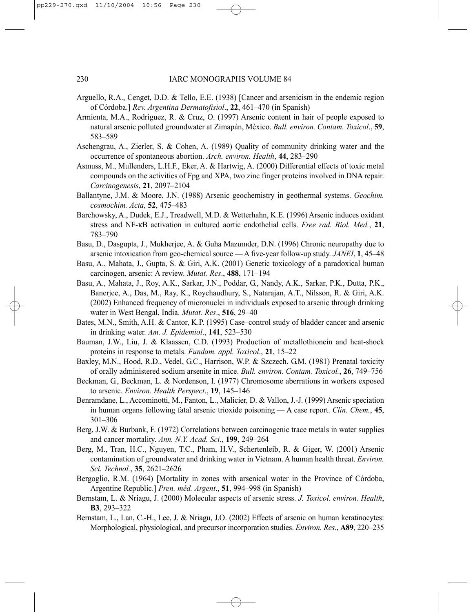- Arguello, R.A., Cenget, D.D. & Tello, E.E. (1938) [Cancer and arsenicism in the endemic region of Córdoba.] *Rev. Argentina Dermatofisiol*., **22**, 461–470 (in Spanish)
- Armienta, M.A., Rodriguez, R. & Cruz, O. (1997) Arsenic content in hair of people exposed to natural arsenic polluted groundwater at Zimapán, México. *Bull. environ. Contam. Toxicol*., **59**, 583–589
- Aschengrau, A., Zierler, S. & Cohen, A. (1989) Quality of community drinking water and the occurrence of spontaneous abortion. *Arch. environ. Health*, **44**, 283–290
- Asmuss, M., Mullenders, L.H.F., Eker, A. & Hartwig, A. (2000) Differential effects of toxic metal compounds on the activities of Fpg and XPA, two zinc finger proteins involved in DNA repair. *Carcinogenesis*, **21**, 2097–2104
- Ballantyne, J.M. & Moore, J.N. (1988) Arsenic geochemistry in geothermal systems. *Geochim. cosmochim. Acta*, **52**, 475–483
- Barchowsky, A., Dudek, E.J., Treadwell, M.D. & Wetterhahn, K.E. (1996) Arsenic induces oxidant stress and NF-κB activation in cultured aortic endothelial cells. *Free rad. Biol. Med.*, **21**, 783–790
- Basu, D., Dasgupta, J., Mukherjee, A. & Guha Mazumder, D.N. (1996) Chronic neuropathy due to arsenic intoxication from geo-chemical source — A five-year follow-up study. *JANEI*, **1**, 45–48
- Basu, A., Mahata, J., Gupta, S. & Giri, A.K. (2001) Genetic toxicology of a paradoxical human carcinogen, arsenic: A review. *Mutat. Res*., **488**, 171–194
- Basu, A., Mahata, J., Roy, A.K., Sarkar, J.N., Poddar, G., Nandy, A.K., Sarkar, P.K., Dutta, P.K., Banerjee, A., Das, M., Ray, K., Roychaudhury, S., Natarajan, A.T., Nilsson, R. & Giri, A.K. (2002) Enhanced frequency of micronuclei in individuals exposed to arsenic through drinking water in West Bengal, India. *Mutat. Res*., **516**, 29–40
- Bates, M.N., Smith, A.H. & Cantor, K.P. (1995) Case–control study of bladder cancer and arsenic in drinking water. *Am. J. Epidemiol*., **141**, 523–530
- Bauman, J.W., Liu, J. & Klaassen, C.D. (1993) Production of metallothionein and heat-shock proteins in response to metals. *Fundam. appl. Toxicol*., **21**, 15–22
- Baxley, M.N., Hood, R.D., Vedel, G.C., Harrison, W.P. & Szczech, G.M. (1981) Prenatal toxicity of orally administered sodium arsenite in mice. *Bull. environ. Contam. Toxicol.*, **26**, 749–756
- Beckman, G., Beckman, L. & Nordenson, I. (1977) Chromosome aberrations in workers exposed to arsenic. *Environ. Health Perspect*., **19**, 145–146
- Benramdane, L., Accominotti, M., Fanton, L., Malicier, D. & Vallon, J.-J. (1999) Arsenic speciation in human organs following fatal arsenic trioxide poisoning — A case report. *Clin. Chem.*, **45**, 301–306
- Berg, J.W. & Burbank, F. (1972) Correlations between carcinogenic trace metals in water supplies and cancer mortality. *Ann. N.Y. Acad. Sci*., **199**, 249–264
- Berg, M., Tran, H.C., Nguyen, T.C., Pham, H.V., Schertenleib, R. & Giger, W. (2001) Arsenic contamination of groundwater and drinking water in Vietnam. A human health threat. *Environ. Sci. Technol.*, **35**, 2621–2626
- Bergoglio, R.M. (1964) [Mortality in zones with arsenical woter in the Province of Córdoba, Argentine Republic.] *Pren. méd. Argent*., **51**, 994–998 (in Spanish)
- Bernstam, L. & Nriagu, J. (2000) Molecular aspects of arsenic stress. *J. Toxicol. environ. Health*, **B3**, 293–322
- Bernstam, L., Lan, C.-H., Lee, J. & Nriagu, J.O. (2002) Effects of arsenic on human keratinocytes: Morphological, physiological, and precursor incorporation studies. *Environ. Res*., **A89**, 220–235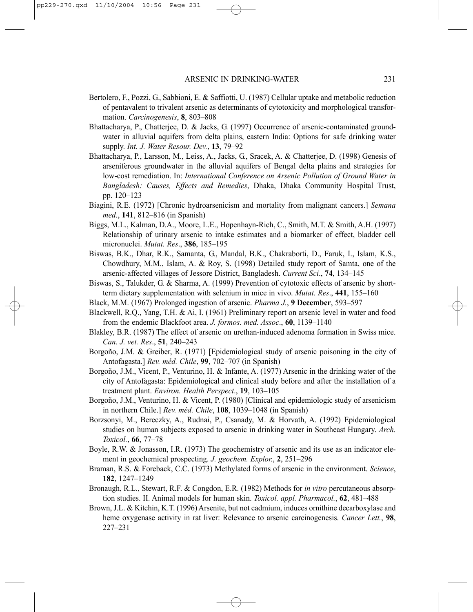- Bertolero, F., Pozzi, G., Sabbioni, E. & Saffiotti, U. (1987) Cellular uptake and metabolic reduction of pentavalent to trivalent arsenic as determinants of cytotoxicity and morphological transformation. *Carcinogenesis*, **8**, 803–808
- Bhattacharya, P., Chatterjee, D. & Jacks, G. (1997) Occurrence of arsenic-contaminated groundwater in alluvial aquifers from delta plains, eastern India: Options for safe drinking water supply. *Int. J. Water Resour. Dev.*, **13**, 79–92
- Bhattacharya, P., Larsson, M., Leiss, A., Jacks, G., Sracek, A. & Chatterjee, D. (1998) Genesis of arseniferous groundwater in the alluvial aquifers of Bengal delta plains and strategies for low-cost remediation. In: *International Conference on Arsenic Pollution of Ground Water in Bangladesh: Causes, Effects and Remedies*, Dhaka, Dhaka Community Hospital Trust, pp. 120–123
- Biagini, R.E. (1972) [Chronic hydroarsenicism and mortality from malignant cancers.] *Semana med*., **141**, 812–816 (in Spanish)
- Biggs, M.L., Kalman, D.A., Moore, L.E., Hopenhayn-Rich, C., Smith, M.T. & Smith, A.H. (1997) Relationship of urinary arsenic to intake estimates and a biomarker of effect, bladder cell micronuclei. *Mutat. Res*., **386**, 185–195
- Biswas, B.K., Dhar, R.K., Samanta, G., Mandal, B.K., Chakraborti, D., Faruk, I., Islam, K.S., Chowdhury, M.M., Islam, A. & Roy, S. (1998) Detailed study report of Samta, one of the arsenic-affected villages of Jessore District, Bangladesh. *Current Sci*., **74**, 134–145
- Biswas, S., Talukder, G. & Sharma, A. (1999) Prevention of cytotoxic effects of arsenic by shortterm dietary supplementation with selenium in mice in vivo. *Mutat. Res*., **441**, 155–160
- Black, M.M. (1967) Prolonged ingestion of arsenic. *Pharma J.*, **9 December**, 593–597
- Blackwell, R.Q., Yang, T.H. & Ai, I. (1961) Preliminary report on arsenic level in water and food from the endemic Blackfoot area. *J. formos. med. Assoc*., **60**, 1139–1140
- Blakley, B.R. (1987) The effect of arsenic on urethan-induced adenoma formation in Swiss mice. *Can. J. vet. Res*., **51**, 240–243
- Borgoño, J.M. & Greiber, R. (1971) [Epidemiological study of arsenic poisoning in the city of Antofagasta.] *Rev. méd. Chile*, **99**, 702–707 (in Spanish)
- Borgoño, J.M., Vicent, P., Venturino, H. & Infante, A. (1977) Arsenic in the drinking water of the city of Antofagasta: Epidemiological and clinical study before and after the installation of a treatment plant. *Environ. Health Perspect*., **19**, 103–105
- Borgoño, J.M., Venturino, H. & Vicent, P. (1980) [Clinical and epidemiologic study of arsenicism in northern Chile.] *Rev. méd. Chile*, **108**, 1039–1048 (in Spanish)
- Borzsonyi, M., Bereczky, A., Rudnai, P., Csanady, M. & Horvath, A. (1992) Epidemiological studies on human subjects exposed to arsenic in drinking water in Southeast Hungary. *Arch. Toxicol.*, **66**, 77–78
- Boyle, R.W. & Jonasson, I.R. (1973) The geochemistry of arsenic and its use as an indicator element in geochemical prospecting. *J. geochem. Explor.*, **2**, 251–296
- Braman, R.S. & Foreback, C.C. (1973) Methylated forms of arsenic in the environment. *Science*, **182**, 1247–1249
- Bronaugh, R.L., Stewart, R.F. & Congdon, E.R. (1982) Methods for *in vitro* percutaneous absorption studies. II. Animal models for human skin. *Toxicol. appl. Pharmacol.*, **62**, 481–488
- Brown, J.L. & Kitchin, K.T. (1996) Arsenite, but not cadmium, induces ornithine decarboxylase and heme oxygenase activity in rat liver: Relevance to arsenic carcinogenesis. *Cancer Lett.*, **98**, 227–231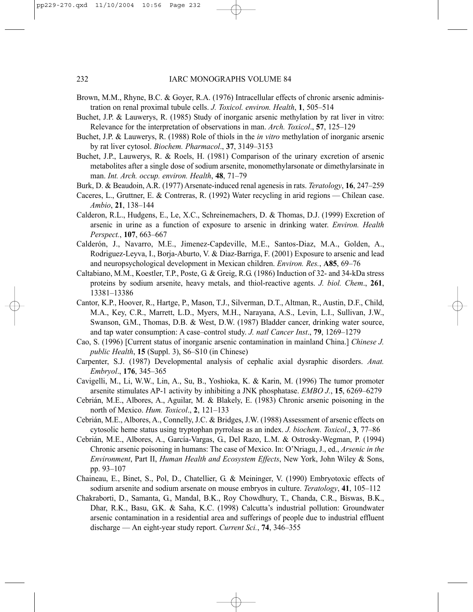- Brown, M.M., Rhyne, B.C. & Goyer, R.A. (1976) Intracellular effects of chronic arsenic administration on renal proximal tubule cells. *J. Toxicol. environ. Health*, **1**, 505–514
- Buchet, J.P. & Lauwerys, R. (1985) Study of inorganic arsenic methylation by rat liver in vitro: Relevance for the interpretation of observations in man. *Arch. Toxicol*., **57**, 125–129
- Buchet, J.P. & Lauwerys, R. (1988) Role of thiols in the *in vitro* methylation of inorganic arsenic by rat liver cytosol. *Biochem. Pharmacol*., **37**, 3149–3153
- Buchet, J.P., Lauwerys, R. & Roels, H. (1981) Comparison of the urinary excretion of arsenic metabolites after a single dose of sodium arsenite, monomethylarsonate or dimethylarsinate in man. *Int. Arch. occup. environ. Health*, **48**, 71–79
- Burk, D. & Beaudoin, A.R. (1977) Arsenate-induced renal agenesis in rats. *Teratology*, **16**, 247–259
- Caceres, L., Gruttner, E. & Contreras, R. (1992) Water recycling in arid regions Chilean case. *Ambio*, **21**, 138–144
- Calderon, R.L., Hudgens, E., Le, X.C., Schreinemachers, D. & Thomas, D.J. (1999) Excretion of arsenic in urine as a function of exposure to arsenic in drinking water. *Environ. Health Perspect.*, **107**, 663–667
- Calderón, J., Navarro, M.E., Jimenez-Capdeville, M.E., Santos-Diaz, M.A., Golden, A., Rodriguez-Leyva, I., Borja-Aburto, V. & Diaz-Barriga, F. (2001) Exposure to arsenic and lead and neuropsychological development in Mexican children. *Environ. Res.*, **A85**, 69–76
- Caltabiano, M.M., Koestler, T.P., Poste, G. & Greig, R.G. (1986) Induction of 32- and 34-kDa stress proteins by sodium arsenite, heavy metals, and thiol-reactive agents. *J. biol. Chem*., **261**, 13381–13386
- Cantor, K.P., Hoover, R., Hartge, P., Mason, T.J., Silverman, D.T., Altman, R., Austin, D.F., Child, M.A., Key, C.R., Marrett, L.D., Myers, M.H., Narayana, A.S., Levin, L.I., Sullivan, J.W., Swanson, G.M., Thomas, D.B. & West, D.W. (1987) Bladder cancer, drinking water source, and tap water consumption: A case–control study. *J. natl Cancer Inst*., **79**, 1269–1279
- Cao, S. (1996) [Current status of inorganic arsenic contamination in mainland China.] *Chinese J. public Health*, **15** (Suppl. 3), S6–S10 (in Chinese)
- Carpenter, S.J. (1987) Developmental analysis of cephalic axial dysraphic disorders. *Anat. Embryol*., **176**, 345–365
- Cavigelli, M., Li, W.W., Lin, A., Su, B., Yoshioka, K. & Karin, M. (1996) The tumor promoter arsenite stimulates AP-1 activity by inhibiting a JNK phosphatase. *EMBO J.*, **15**, 6269–6279
- Cebrián, M.E., Albores, A., Aguilar, M. & Blakely, E. (1983) Chronic arsenic poisoning in the north of Mexico. *Hum. Toxicol*., **2**, 121–133
- Cebrián, M.E., Albores, A., Connelly, J.C. & Bridges, J.W. (1988) Assessment of arsenic effects on cytosolic heme status using tryptophan pyrrolase as an index. *J. biochem. Toxicol*., **3**, 77–86
- Cebrián, M.E., Albores, A., García-Vargas, G., Del Razo, L.M. & Ostrosky-Wegman, P. (1994) Chronic arsenic poisoning in humans: The case of Mexico. In: O'Nriagu, J., ed., *Arsenic in the Environment*, Part II, *Human Health and Ecosystem Effects*, New York, John Wiley & Sons, pp. 93–107
- Chaineau, E., Binet, S., Pol, D., Chatellier, G. & Meininger, V. (1990) Embryotoxic effects of sodium arsenite and sodium arsenate on mouse embryos in culture. *Teratology*, **41**, 105–112
- Chakraborti, D., Samanta, G., Mandal, B.K., Roy Chowdhury, T., Chanda, C.R., Biswas, B.K., Dhar, R.K., Basu, G.K. & Saha, K.C. (1998) Calcutta's industrial pollution: Groundwater arsenic contamination in a residential area and sufferings of people due to industrial effluent discharge — An eight-year study report. *Current Sci.*, **74**, 346–355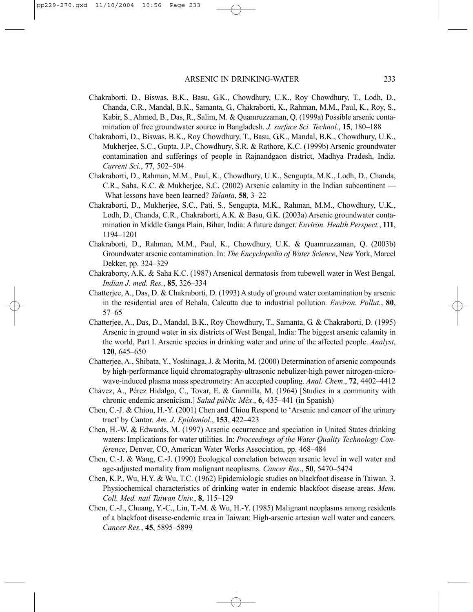- Chakraborti, D., Biswas, B.K., Basu, G.K., Chowdhury, U.K., Roy Chowdhury, T., Lodh, D., Chanda, C.R., Mandal, B.K., Samanta, G., Chakraborti, K., Rahman, M.M., Paul, K., Roy, S., Kabir, S., Ahmed, B., Das, R., Salim, M. & Quamruzzaman, Q. (1999a) Possible arsenic contamination of free groundwater source in Bangladesh. *J. surface Sci. Technol.*, **15**, 180–188
- Chakraborti, D., Biswas, B.K., Roy Chowdhury, T., Basu, G.K., Mandal, B.K., Chowdhury, U.K., Mukherjee, S.C., Gupta, J.P., Chowdhury, S.R. & Rathore, K.C. (1999b) Arsenic groundwater contamination and sufferings of people in Rajnandgaon district, Madhya Pradesh, India. *Current Sci.*, **77**, 502–504
- Chakraborti, D., Rahman, M.M., Paul, K., Chowdhury, U.K., Sengupta, M.K., Lodh, D., Chanda, C.R., Saha, K.C. & Mukherjee, S.C. (2002) Arsenic calamity in the Indian subcontinent — What lessons have been learned? *Talanta*, **58**, 3–22
- Chakraborti, D., Mukherjee, S.C., Pati, S., Sengupta, M.K., Rahman, M.M., Chowdhury, U.K., Lodh, D., Chanda, C.R., Chakraborti, A.K. & Basu, G.K. (2003a) Arsenic groundwater contamination in Middle Ganga Plain, Bihar, India: A future danger. *Environ. Health Perspect.*, **111**, 1194–1201
- Chakraborti, D., Rahman, M.M., Paul, K., Chowdhury, U.K. & Quamruzzaman, Q. (2003b) Groundwater arsenic contamination. In: *The Encyclopedia of Water Science*, New York, Marcel Dekker, pp. 324–329
- Chakraborty, A.K. & Saha K.C. (1987) Arsenical dermatosis from tubewell water in West Bengal. *Indian J. med. Res.*, **85**, 326–334
- Chatterjee, A., Das, D. & Chakraborti, D. (1993) A study of ground water contamination by arsenic in the residential area of Behala, Calcutta due to industrial pollution. *Environ. Pollut.*, **80**, 57–65
- Chatterjee, A., Das, D., Mandal, B.K., Roy Chowdhury, T., Samanta, G. & Chakraborti, D. (1995) Arsenic in ground water in six districts of West Bengal, India: The biggest arsenic calamity in the world, Part I. Arsenic species in drinking water and urine of the affected people. *Analyst*, **120**, 645–650
- Chatterjee, A., Shibata, Y., Yoshinaga, J. & Morita, M. (2000) Determination of arsenic compounds by high-performance liquid chromatography-ultrasonic nebulizer-high power nitrogen-microwave-induced plasma mass spectrometry: An accepted coupling. *Anal. Chem*., **72**, 4402–4412
- Chávez, A., Pérez Hidalgo, C., Tovar, E. & Garmilla, M. (1964) [Studies in a community with chronic endemic arsenicism.] *Salud públic Méx*., **6**, 435–441 (in Spanish)
- Chen, C.-J. & Chiou, H.-Y. (2001) Chen and Chiou Respond to 'Arsenic and cancer of the urinary tract' by Cantor. *Am. J. Epidemiol*., **153**, 422–423
- Chen, H.-W. & Edwards, M. (1997) Arsenic occurrence and speciation in United States drinking waters: Implications for water utilities. In: *Proceedings of the Water Quality Technology Conference*, Denver, CO, American Water Works Association, pp. 468–484
- Chen, C.-J. & Wang, C.-J. (1990) Ecological correlation between arsenic level in well water and age-adjusted mortality from malignant neoplasms. *Cancer Res*., **50**, 5470–5474
- Chen, K.P., Wu, H.Y. & Wu, T.C. (1962) Epidemiologic studies on blackfoot disease in Taiwan. 3. Physiochemical characteristics of drinking water in endemic blackfoot disease areas. *Mem. Coll. Med. natl Taiwan Univ.*, **8**, 115–129
- Chen, C.-J., Chuang, Y.-C., Lin, T.-M. & Wu, H.-Y. (1985) Malignant neoplasms among residents of a blackfoot disease-endemic area in Taiwan: High-arsenic artesian well water and cancers. *Cancer Res.*, **45**, 5895–5899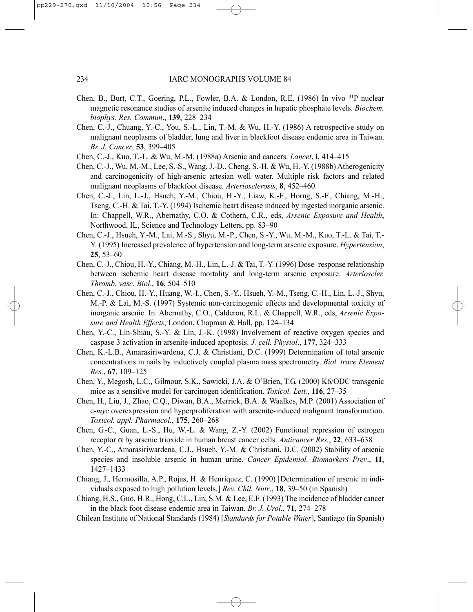- Chen, B., Burt, C.T., Goering, P.L., Fowler, B.A. & London, R.E. (1986) In vivo 31P nuclear magnetic resonance studies of arsenite induced changes in hepatic phosphate levels. *Biochem. biophys. Res. Commun*., **139**, 228–234
- Chen, C.-J., Chuang, Y.-C., You, S.-L., Lin, T.-M. & Wu, H.-Y. (1986) A retrospective study on malignant neoplasms of bladder, lung and liver in blackfoot disease endemic area in Taiwan. *Br. J. Cancer*, **53**, 399–405
- Chen, C.-J., Kuo, T.-L. & Wu, M.-M. (1988a) Arsenic and cancers. *Lancet*, **i**, 414–415
- Chen, C.-J., Wu, M.-M., Lee, S.-S., Wang, J.-D., Cheng, S.-H. & Wu, H.-Y. (1988b) Atherogenicity and carcinogenicity of high-arsenic artesian well water. Multiple risk factors and related malignant neoplasms of blackfoot disease. *Arteriosclerosis*, **8**, 452–460
- Chen, C.-J., Lin, L.-J., Hsueh, Y.-M., Chiou, H.-Y., Liaw, K.-F., Horng, S.-F., Chiang, M.-H., Tseng, C.-H. & Tai, T.-Y. (1994) Ischemic heart disease induced by ingested inorganic arsenic. In: Chappell, W.R., Abernathy, C.O. & Cothern, C.R., eds, *Arsenic Exposure and Health*, Northwood, IL, Science and Technology Letters, pp. 83–90
- Chen, C.-J., Hsueh, Y.-M., Lai, M.-S., Shyu, M.-P., Chen, S.-Y., Wu, M.-M., Kuo, T.-L. & Tai, T.- Y. (1995) Increased prevalence of hypertension and long-term arsenic exposure. *Hypertension*, **25**, 53–60
- Chen, C.-J., Chiou, H.-Y., Chiang, M.-H., Lin, L.-J. & Tai, T.-Y. (1996) Dose–response relationship between ischemic heart disease mortality and long-term arsenic exposure. *Arterioscler. Thromb. vasc. Biol*., **16**, 504–510
- Chen, C.-J., Chiou, H.-Y., Huang, W.-I., Chen, S.-Y., Hsueh, Y.-M., Tseng, C.-H., Lin, L.-J., Shyu, M.-P. & Lai, M.-S. (1997) Systemic non-carcinogenic effects and developmental toxicity of inorganic arsenic. In: Abernathy, C.O., Calderon, R.L. & Chappell, W.R., eds, *Arsenic Exposure and Health Effects*, London, Chapman & Hall, pp. 124–134
- Chen, Y.-C., Lin-Shiau, S.-Y. & Lin, J.-K. (1998) Involvement of reactive oxygen species and caspase 3 activation in arsenite-induced apoptosis. *J. cell. Physiol*., **177**, 324–333
- Chen, K.-L.B., Amarasiriwardena, C.J. & Christiani, D.C. (1999) Determination of total arsenic concentrations in nails by inductively coupled plasma mass spectrometry. *Biol. trace Element Res.*, **67**, 109–125
- Chen, Y., Megosh, L.C., Gilmour, S.K., Sawicki, J.A. & O'Brien, T.G. (2000) K6/ODC transgenic mice as a sensitive model for carcinogen identification. *Toxicol. Lett.*, **116**, 27–35
- Chen, H., Liu, J., Zhao, C.Q., Diwan, B.A., Merrick, B.A. & Waalkes, M.P. (2001) Association of c-*myc* overexpression and hyperproliferation with arsenite-induced malignant transformation. *Toxicol. appl. Pharmacol.*, **175**, 260–268
- Chen, G.-C., Guan, L.-S., Hu, W.-L. & Wang, Z.-Y. (2002) Functional repression of estrogen receptor α by arsenic trioxide in human breast cancer cells. *Anticancer Res.*, **22**, 633–638
- Chen, Y.-C., Amarasiriwardena, C.J., Hsueh, Y.-M. & Christiani, D.C. (2002) Stability of arsenic species and insoluble arsenic in human urine. *Cancer Epidemiol. Biomarkers Prev*., **11**, 1427–1433
- Chiang, J., Hermosilla, A.P., Rojas, H. & Henríquez, C. (1990) [Determination of arsenic in individuals exposed to high pollution levels.] *Rev. Chil. Nutr*., **18**, 39–50 (in Spanish)
- Chiang, H.S., Guo, H.R., Hong, C.L., Lin, S.M. & Lee, E.F. (1993) The incidence of bladder cancer in the black foot disease endemic area in Taiwan. *Br. J. Urol*., **71**, 274–278
- Chilean Institute of National Standards (1984) [*Standards for Potable Water*], Santiago (in Spanish)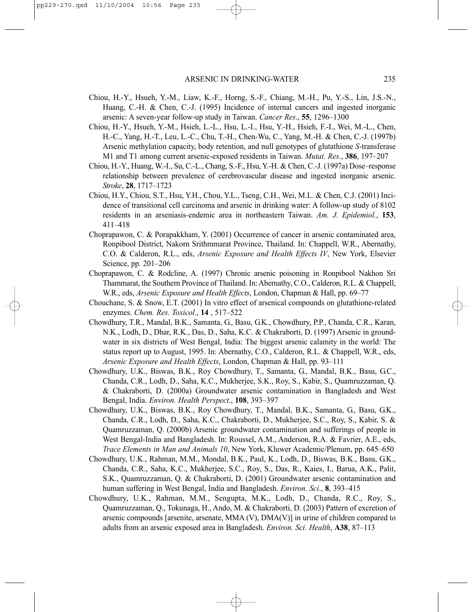- Chiou, H.-Y., Hsueh, Y.-M., Liaw, K.-F., Horng, S.-F., Chiang, M.-H., Pu, Y.-S., Lin, J.S.-N., Huang, C.-H. & Chen, C.-J. (1995) Incidence of internal cancers and ingested inorganic arsenic: A seven-year follow-up study in Taiwan. *Cancer Res*., **55**, 1296–1300
- Chiou, H.-Y., Hsueh, Y.-M., Hsieh, L.-L., Hsu, L.-I., Hsu, Y.-H., Hsieh, F.-I., Wei, M.-L., Chen, H.-C., Yang, H.-T., Leu, L.-C., Chu, T.-H., Chen-Wu, C., Yang, M.-H. & Chen, C.-J. (1997b) Arsenic methylation capacity, body retention, and null genotypes of glutathione *S*-transferase M1 and T1 among current arsenic-exposed residents in Taiwan. *Mutat. Res*., **386**, 197–207
- Chiou, H.-Y., Huang, W.-I., Su, C.-L., Chang, S.-F., Hsu, Y.-H. & Chen, C.-J. (1997a) Dose–response relationship between prevalence of cerebrovascular disease and ingested inorganic arsenic. *Stroke*, **28**, 1717–1723
- Chiou, H.Y., Chiou, S.T., Hsu, Y.H., Chou, Y.L., Tseng, C.H., Wei, M.L. & Chen, C.J. (2001) Incidence of transitional cell carcinoma and arsenic in drinking water: A follow-up study of 8102 residents in an arseniasis-endemic area in northeastern Taiwan. *Am. J. Epidemiol.*, **153**, 411–418
- Choprapawon, C. & Porapakkham, Y. (2001) Occurrence of cancer in arsenic contaminated area, Ronpibool District, Nakorn Srithmmarat Province, Thailand. In: Chappell, W.R., Abernathy, C.O. & Calderon, R.L., eds, *Arsenic Exposure and Health Effects IV*, New York, Elsevier Science, pp. 201–206
- Choprapawon, C. & Rodcline, A. (1997) Chronic arsenic poisoning in Ronpibool Nakhon Sri Thammarat, the Southern Province of Thailand. In: Abernathy, C.O., Calderon, R.L. & Chappell, W.R., eds, *Arsenic Exposure and Health Effects*, London, Chapman & Hall, pp. 69–77
- Chouchane, S. & Snow, E.T. (2001) In vitro effect of arsenical compounds on glutathione-related enzymes. *Chem. Res. Toxicol*., **14** , 517–522
- Chowdhury, T.R., Mandal, B.K., Samanta, G., Basu, G.K., Chowdhury, P.P., Chanda, C.R., Karan, N.K., Lodh, D., Dhar, R.K., Das, D., Saha, K.C. & Chakraborti, D. (1997) Arsenic in groundwater in six districts of West Bengal, India: The biggest arsenic calamity in the world: The status report up to August, 1995. In: Abernathy, C.O., Calderon, R.L. & Chappell, W.R., eds, *Arsenic Exposure and Health Effects*, London, Chapman & Hall, pp. 93–111
- Chowdhury, U.K., Biswas, B.K., Roy Chowdhury, T., Samanta, G., Mandal, B.K., Basu, G.C., Chanda, C.R., Lodh, D., Saha, K.C., Mukherjee, S.K., Roy, S., Kabir, S., Quamruzzaman, Q. & Chakraborti, D. (2000a) Groundwater arsenic contamination in Bangladesh and West Bengal, India. *Environ. Health Perspect*., **108**, 393–397
- Chowdhury, U.K., Biswas, B.K., Roy Chowdhury, T., Mandal, B.K., Samanta, G., Basu, G.K., Chanda, C.R., Lodh, D., Saha, K.C., Chakraborti, D., Mukherjee, S.C., Roy, S., Kabir, S. & Quamruzzaman, Q. (2000b) Arsenic groundwater contamination and sufferings of people in West Bengal-India and Bangladesh. In: Roussel, A.M., Anderson, R.A. & Favrier, A.E., eds, *Trace Elements in Man and Animals 10*, New York, Kluwer Academic/Plenum, pp. 645–650
- Chowdhury, U.K., Rahman, M.M., Mondal, B.K., Paul, K., Lodh, D., Biswas, B.K., Basu, G.K., Chanda, C.R., Saha, K.C., Mukherjee, S.C., Roy, S., Das, R., Kaies, I., Barua, A.K., Palit, S.K., Quamruzzaman, Q. & Chakraborti, D. (2001) Groundwater arsenic contamination and human suffering in West Bengal, India and Bangladesh. *Environ. Sci*., **8**, 393–415
- Chowdhury, U.K., Rahman, M.M., Sengupta, M.K., Lodh, D., Chanda, R.C., Roy, S., Quamruzzaman, Q., Tokunaga, H., Ando, M. & Chakraborti, D. (2003) Pattern of excretion of arsenic compounds [arsenite, arsenate, MMA (V), DMA(V)] in urine of children compared to adults from an arsenic exposed area in Bangladesh. *Environ. Sci. Health*, **A38**, 87–113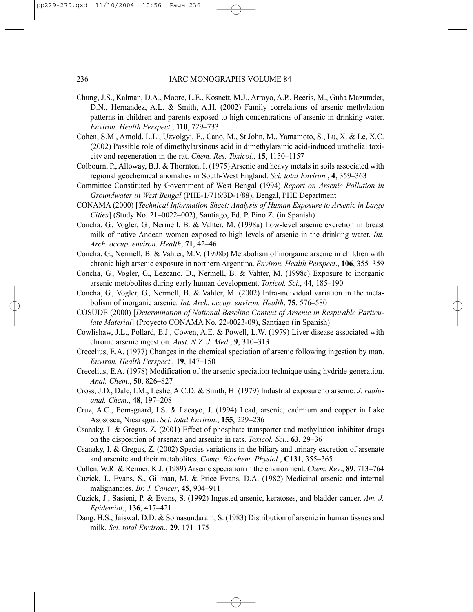- Chung, J.S., Kalman, D.A., Moore, L.E., Kosnett, M.J., Arroyo, A.P., Beeris, M., Guha Mazumder, D.N., Hernandez, A.L. & Smith, A.H. (2002) Family correlations of arsenic methylation patterns in children and parents exposed to high concentrations of arsenic in drinking water. *Environ. Health Perspect*., **110**, 729–733
- Cohen, S.M., Arnold, L.L., Uzvolgyi, E., Cano, M., St John, M., Yamamoto, S., Lu, X. & Le, X.C. (2002) Possible role of dimethylarsinous acid in dimethylarsinic acid-induced urothelial toxicity and regeneration in the rat. *Chem. Res. Toxicol.*, **15**, 1150–1157
- Colbourn, P., Alloway, B.J. & Thornton, I. (1975) Arsenic and heavy metals in soils associated with regional geochemical anomalies in South-West England. *Sci. total Environ.*, **4**, 359–363
- Committee Constituted by Government of West Bengal (1994) *Report on Arsenic Pollution in Groundwater in West Bengal* (PHE-1/716/3D-1/88), Bengal, PHE Department
- CONAMA (2000) [*Technical Information Sheet: Analysis of Human Exposure to Arsenic in Large Cities*] (Study No. 21–0022–002), Santiago, Ed. P. Pino Z. (in Spanish)
- Concha, G., Vogler, G., Nermell, B. & Vahter, M. (1998a) Low-level arsenic excretion in breast milk of native Andean women exposed to high levels of arsenic in the drinking water. *Int. Arch. occup. environ. Health*, **71**, 42–46
- Concha, G., Nermell, B. & Vahter, M.V. (1998b) Metabolism of inorganic arsenic in children with chronic high arsenic exposure in northern Argentina. *Environ. Health Perspect*., **106**, 355–359
- Concha, G., Vogler, G., Lezcano, D., Nermell, B. & Vahter, M. (1998c) Exposure to inorganic arsenic metobolites during early human development. *Toxicol. Sci*., **44**, 185–190
- Concha, G., Vogler, G., Nermell, B. & Vahter, M. (2002) Intra-individual variation in the metabolism of inorganic arsenic*. Int. Arch. occup. environ. Health*, **75**, 576–580
- COSUDE (2000) [*Determination of National Baseline Content of Arsenic in Respirable Particulate Material*] (Proyecto CONAMA No. 22-0023-09), Santiago (in Spanish)
- Cowlishaw, J.L., Pollard, E.J., Cowen, A.E. & Powell, L.W. (1979) Liver disease associated with chronic arsenic ingestion. *Aust. N.Z. J. Med*., **9**, 310–313
- Crecelius, E.A. (1977) Changes in the chemical speciation of arsenic following ingestion by man. *Environ. Health Perspect*., **19**, 147–150
- Crecelius, E.A. (1978) Modification of the arsenic speciation technique using hydride generation. *Anal. Chem.*, **50**, 826–827
- Cross, J.D., Dale, I.M., Leslie, A.C.D. & Smith, H. (1979) Industrial exposure to arsenic. *J. radioanal. Chem*., **48**, 197–208
- Cruz, A.C., Fomsgaard, I.S. & Lacayo, J. (1994) Lead, arsenic, cadmium and copper in Lake Asososca, Nicaragua. *Sci. total Environ*., **155**, 229–236
- Csanaky, I. & Gregus, Z. (2001) Effect of phosphate transporter and methylation inhibitor drugs on the disposition of arsenate and arsenite in rats. *Toxicol. Sci*., **63**, 29–36
- Csanaky, I. & Gregus, Z. (2002) Species variations in the biliary and urinary excretion of arsenate and arsenite and their metabolites. *Comp. Biochem. Physiol*., **C131**, 355–365
- Cullen, W.R. & Reimer, K.J. (1989) Arsenic speciation in the environment. *Chem. Rev*., **89**, 713–764
- Cuzick, J., Evans, S., Gillman, M. & Price Evans, D.A. (1982) Medicinal arsenic and internal malignancies. *Br. J. Cancer*, **45**, 904–911
- Cuzick, J., Sasieni, P. & Evans, S. (1992) Ingested arsenic, keratoses, and bladder cancer. *Am. J. Epidemiol*., **136**, 417–421
- Dang, H.S., Jaiswal, D.D. & Somasundaram, S. (1983) Distribution of arsenic in human tissues and milk. *Sci. total Environ*., **29**, 171–175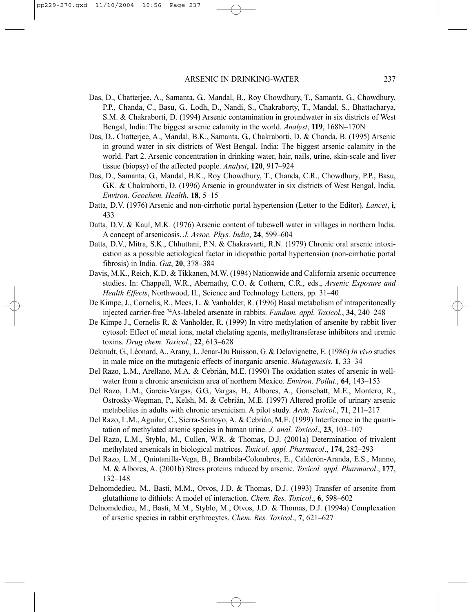- Das, D., Chatterjee, A., Samanta, G., Mandal, B., Roy Chowdhury, T., Samanta, G., Chowdhury, P.P., Chanda, C., Basu, G., Lodh, D., Nandi, S., Chakraborty, T., Mandal, S., Bhattacharya, S.M. & Chakraborti, D. (1994) Arsenic contamination in groundwater in six districts of West Bengal, India: The biggest arsenic calamity in the world. *Analyst*, **119**, 168N–170N
- Das, D., Chatterjee, A., Mandal, B.K., Samanta, G., Chakraborti, D. & Chanda, B. (1995) Arsenic in ground water in six districts of West Bengal, India: The biggest arsenic calamity in the world. Part 2. Arsenic concentration in drinking water, hair, nails, urine, skin-scale and liver tissue (biopsy) of the affected people. *Analyst*, **120**, 917–924
- Das, D., Samanta, G., Mandal, B.K., Roy Chowdhury, T., Chanda, C.R., Chowdhury, P.P., Basu, G.K. & Chakraborti, D. (1996) Arsenic in groundwater in six districts of West Bengal, India. *Environ. Geochem. Health*, **18**, 5–15
- Datta, D.V. (1976) Arsenic and non-cirrhotic portal hypertension (Letter to the Editor). *Lancet*, **i**, 433
- Datta, D.V. & Kaul, M.K. (1976) Arsenic content of tubewell water in villages in northern India. A concept of arsenicosis. *J. Assoc. Phys. India*, **24**, 599–604
- Datta, D.V., Mitra, S.K., Chhuttani, P.N. & Chakravarti, R.N. (1979) Chronic oral arsenic intoxication as a possible aetiological factor in idiopathic portal hypertension (non-cirrhotic portal fibrosis) in India. *Gut*, **20**, 378–384
- Davis, M.K., Reich, K.D. & Tikkanen, M.W. (1994) Nationwide and California arsenic occurrence studies. In: Chappell, W.R., Abernathy, C.O. & Cothern, C.R., eds., *Arsenic Exposure and Health Effects*, Northwood, IL, Science and Technology Letters, pp. 31–40
- De Kimpe, J., Cornelis, R., Mees, L. & Vanholder, R. (1996) Basal metabolism of intraperitoneally injected carrier-free 74As-labeled arsenate in rabbits. *Fundam. appl. Toxicol.*, **34**, 240–248
- De Kimpe J., Cornelis R. & Vanholder, R. (1999) In vitro methylation of arsenite by rabbit liver cytosol: Effect of metal ions, metal chelating agents, methyltransferase inhibitors and uremic toxins. *Drug chem. Toxicol*., **22**, 613–628
- Deknudt, G., Léonard, A., Arany, J., Jenar-Du Buisson, G. & Delavignette, E. (1986) *In vivo* studies in male mice on the mutagenic effects of inorganic arsenic. *Mutagenesis*, **1**, 33–34
- Del Razo, L.M., Arellano, M.A. & Cebrián, M.E. (1990) The oxidation states of arsenic in wellwater from a chronic arsenicism area of northern Mexico. *Environ. Pollut*., **64**, 143–153
- Del Razo, L.M., Garcia-Vargas, G.G., Vargas, H., Albores, A., Gonsebatt, M.E., Montero, R., Ostrosky-Wegman, P., Kelsh, M. & Cebrián, M.E. (1997) Altered profile of urinary arsenic metabolites in adults with chronic arsenicism. A pilot study. *Arch. Toxicol*., **71**, 211–217
- Del Razo, L.M., Aguilar, C., Sierra-Santoyo, A. & Cebrián, M.E. (1999) Interference in the quantitation of methylated arsenic species in human urine. *J. anal. Toxicol*., **23**, 103–107
- Del Razo, L.M., Styblo, M., Cullen, W.R. & Thomas, D.J. (2001a) Determination of trivalent methylated arsenicals in biological matrices. *Toxicol. appl. Pharmacol*., **174**, 282–293
- Del Razo, L.M., Quintanilla-Vega, B., Brambila-Colombres, E., Calderón-Aranda, E.S., Manno, M. & Albores, A. (2001b) Stress proteins induced by arsenic. *Toxicol. appl. Pharmacol*., **177**, 132–148
- Delnomdedieu, M., Basti, M.M., Otvos, J.D. & Thomas, D.J. (1993) Transfer of arsenite from glutathione to dithiols: A model of interaction. *Chem. Res. Toxicol*., **6**, 598–602
- Delnomdedieu, M., Basti, M.M., Styblo, M., Otvos, J.D. & Thomas, D.J. (1994a) Complexation of arsenic species in rabbit erythrocytes. *Chem. Res. Toxicol*., **7**, 621–627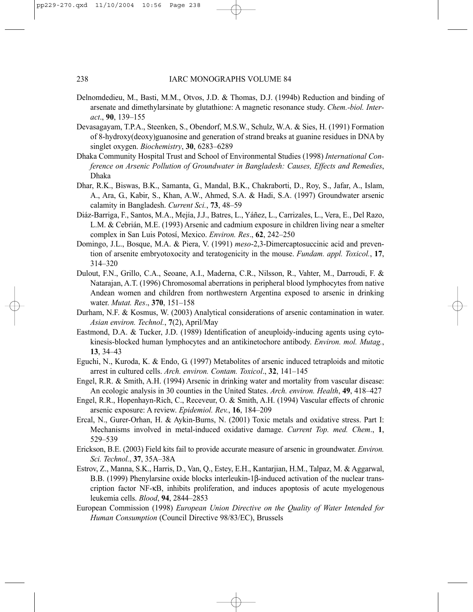- Delnomdedieu, M., Basti, M.M., Otvos, J.D. & Thomas, D.J. (1994b) Reduction and binding of arsenate and dimethylarsinate by glutathione: A magnetic resonance study. *Chem.-biol. Interact*., **90**, 139–155
- Devasagayam, T.P.A., Steenken, S., Obendorf, M.S.W., Schulz, W.A. & Sies, H. (1991) Formation of 8-hydroxy(deoxy)guanosine and generation of strand breaks at guanine residues in DNA by singlet oxygen. *Biochemistry*, **30**, 6283–6289
- Dhaka Community Hospital Trust and School of Environmental Studies (1998) *International Conference on Arsenic Pollution of Groundwater in Bangladesh: Causes, Effects and Remedies*, Dhaka
- Dhar, R.K., Biswas, B.K., Samanta, G., Mandal, B.K., Chakraborti, D., Roy, S., Jafar, A., Islam, A., Ara, G., Kabir, S., Khan, A.W., Ahmed, S.A. & Hadi, S.A. (1997) Groundwater arsenic calamity in Bangladesh. *Current Sci.*, **73**, 48–59
- Diáz-Barriga, F., Santos, M.A., Mejía, J.J., Batres, L., Yáñez, L., Carrizales, L., Vera, E., Del Razo, L.M. & Cebrián, M.E. (1993) Arsenic and cadmium exposure in children living near a smelter complex in San Luis Potosí, Mexico. *Environ. Res*., **62**, 242–250
- Domingo, J.L., Bosque, M.A. & Piera, V. (1991) *meso*-2,3-Dimercaptosuccinic acid and prevention of arsenite embryotoxocity and teratogenicity in the mouse. *Fundam. appl. Toxicol.*, **17**, 314–320
- Dulout, F.N., Grillo, C.A., Seoane, A.I., Maderna, C.R., Nilsson, R., Vahter, M., Darroudi, F. & Natarajan, A.T. (1996) Chromosomal aberrations in peripheral blood lymphocytes from native Andean women and children from northwestern Argentina exposed to arsenic in drinking water. *Mutat. Res*., **370**, 151–158
- Durham, N.F. & Kosmus, W. (2003) Analytical considerations of arsenic contamination in water. *Asian environ. Technol.*, **7**(2), April/May
- Eastmond, D.A. & Tucker, J.D. (1989) Identification of aneuploidy-inducing agents using cytokinesis-blocked human lymphocytes and an antikinetochore antibody. *Environ. mol. Mutag.*, **13**, 34–43
- Eguchi, N., Kuroda, K. & Endo, G. (1997) Metabolites of arsenic induced tetraploids and mitotic arrest in cultured cells. *Arch. environ. Contam. Toxicol*., **32**, 141–145
- Engel, R.R. & Smith, A.H. (1994) Arsenic in drinking water and mortality from vascular disease: An ecologic analysis in 30 counties in the United States. *Arch. environ. Health*, **49**, 418–427
- Engel, R.R., Hopenhayn-Rich, C., Receveur, O. & Smith, A.H. (1994) Vascular effects of chronic arsenic exposure: A review. *Epidemiol. Rev.*, **16**, 184–209
- Ercal, N., Gurer-Orhan, H. & Aykin-Burns, N. (2001) Toxic metals and oxidative stress. Part I: Mechanisms involved in metal-induced oxidative damage. *Current Top. med. Chem*., **1**, 529–539
- Erickson, B.E. (2003) Field kits fail to provide accurate measure of arsenic in groundwater. *Environ. Sci. Technol.*, **37**, 35A–38A
- Estrov, Z., Manna, S.K., Harris, D., Van, Q., Estey, E.H., Kantarjian, H.M., Talpaz, M. & Aggarwal, B.B. (1999) Phenylarsine oxide blocks interleukin-1β-induced activation of the nuclear transcription factor NF-κB, inhibits proliferation, and induces apoptosis of acute myelogenous leukemia cells. *Blood*, **94**, 2844–2853
- European Commission (1998) *European Union Directive on the Quality of Water Intended for Human Consumption* (Council Directive 98/83/EC), Brussels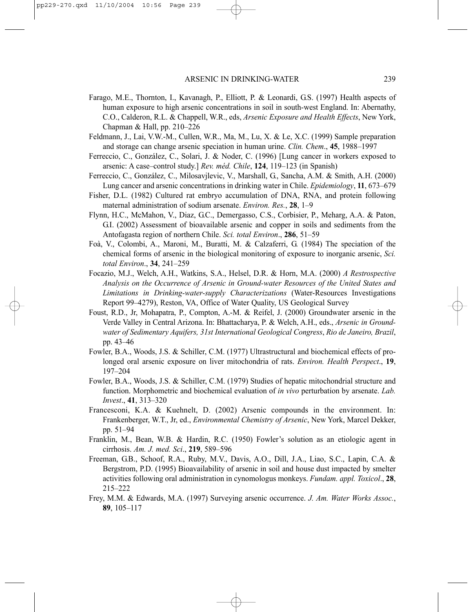- Farago, M.E., Thornton, I., Kavanagh, P., Elliott, P. & Leonardi, G.S. (1997) Health aspects of human exposure to high arsenic concentrations in soil in south-west England. In: Abernathy, C.O., Calderon, R.L. & Chappell, W.R., eds, *Arsenic Exposure and Health Effects*, New York, Chapman & Hall, pp. 210–226
- Feldmann, J., Lai, V.W.-M., Cullen, W.R., Ma, M., Lu, X. & Le, X.C. (1999) Sample preparation and storage can change arsenic speciation in human urine. *Clin. Chem*., **45**, 1988–1997
- Ferreccio, C., González, C., Solari, J. & Noder, C. (1996) [Lung cancer in workers exposed to arsenic: A case–control study.] *Rev. méd. Chile*, **124**, 119–123 (in Spanish)
- Ferreccio, C., González, C., Milosavjlevic, V., Marshall, G., Sancha, A.M. & Smith, A.H. (2000) Lung cancer and arsenic concentrations in drinking water in Chile. *Epidemiology*, **11**, 673–679
- Fisher, D.L. (1982) Cultured rat embryo accumulation of DNA, RNA, and protein following maternal administration of sodium arsenate. *Environ. Res.*, **28**, 1–9
- Flynn, H.C., McMahon, V., Diaz, G.C., Demergasso, C.S., Corbisier, P., Meharg, A.A. & Paton, G.I. (2002) Assessment of bioavailable arsenic and copper in soils and sediments from the Antofagasta region of northern Chile. *Sci. total Environ*., **286**, 51–59
- Foà, V., Colombi, A., Maroni, M., Buratti, M. & Calzaferri, G. (1984) The speciation of the chemical forms of arsenic in the biological monitoring of exposure to inorganic arsenic, *Sci. total Environ*., **34**, 241–259
- Focazio, M.J., Welch, A.H., Watkins, S.A., Helsel, D.R. & Horn, M.A. (2000) *A Restrospective Analysis on the Occurrence of Arsenic in Ground-water Resources of the United States and Limitations in Drinking-water-supply Characterizations* (Water-Resources Investigations Report 99–4279), Reston, VA, Office of Water Quality, US Geological Survey
- Foust, R.D., Jr, Mohapatra, P., Compton, A.-M. & Reifel, J. (2000) Groundwater arsenic in the Verde Valley in Central Arizona. In: Bhattacharya, P. & Welch, A.H., eds., *Arsenic in Groundwater of Sedimentary Aquifers, 31st International Geological Congress*, *Rio de Janeiro, Brazil*, pp. 43–46
- Fowler, B.A., Woods, J.S. & Schiller, C.M. (1977) Ultrastructural and biochemical effects of prolonged oral arsenic exposure on liver mitochondria of rats. *Environ. Health Perspect*., **19**, 197–204
- Fowler, B.A., Woods, J.S. & Schiller, C.M. (1979) Studies of hepatic mitochondrial structure and function. Morphometric and biochemical evaluation of *in vivo* perturbation by arsenate. *Lab. Invest*., **41**, 313–320
- Francesconi, K.A. & Kuehnelt, D. (2002) Arsenic compounds in the environment. In: Frankenberger, W.T., Jr, ed., *Environmental Chemistry of Arsenic*, New York, Marcel Dekker, pp. 51–94
- Franklin, M., Bean, W.B. & Hardin, R.C. (1950) Fowler's solution as an etiologic agent in cirrhosis. *Am. J. med. Sci*., **219**, 589–596
- Freeman, G.B., Schoof, R.A., Ruby, M.V., Davis, A.O., Dill, J.A., Liao, S.C., Lapin, C.A. & Bergstrom, P.D. (1995) Bioavailability of arsenic in soil and house dust impacted by smelter activities following oral administration in cynomologus monkeys. *Fundam. appl. Toxicol*., **28**, 215–222
- Frey, M.M. & Edwards, M.A. (1997) Surveying arsenic occurrence. *J. Am. Water Works Assoc.*, **89**, 105–117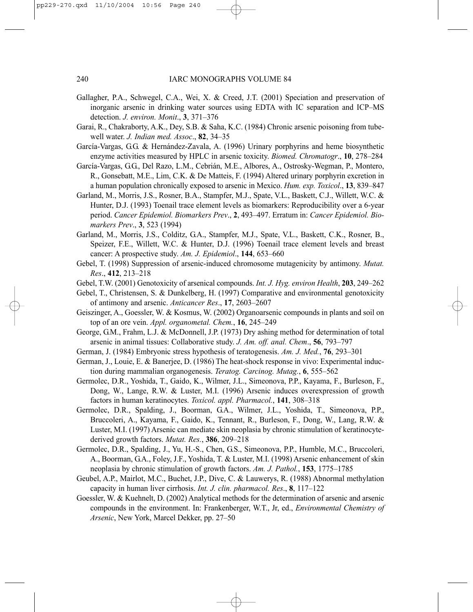- Gallagher, P.A., Schwegel, C.A., Wei, X. & Creed, J.T. (2001) Speciation and preservation of inorganic arsenic in drinking water sources using EDTA with IC separation and ICP–MS detection. *J. environ. Monit*., **3**, 371–376
- Garai, R., Chakraborty, A.K., Dey, S.B. & Saha, K.C. (1984) Chronic arsenic poisoning from tubewell water. *J. Indian med. Assoc*., **82**, 34–35
- García-Vargas, G.G. & Hernández-Zavala, A. (1996) Urinary porphyrins and heme biosynthetic enzyme activities measured by HPLC in arsenic toxicity. *Biomed. Chromatogr*., **10**, 278–284
- García-Vargas, G.G., Del Razo, L.M., Cebrián, M.E., Albores, A., Ostrosky-Wegman, P., Montero, R., Gonsebatt, M.E., Lim, C.K. & De Matteis, F. (1994) Altered urinary porphyrin excretion in a human population chronically exposed to arsenic in Mexico. *Hum. exp. Toxicol*., **13**, 839–847
- Garland, M., Morris, J.S., Rosner, B.A., Stampfer, M.J., Spate, V.L., Baskett, C.J., Willett, W.C. & Hunter, D.J. (1993) Toenail trace element levels as biomarkers: Reproducibility over a 6-year period. *Cancer Epidemiol. Biomarkers Prev*., **2**, 493–497. Erratum in: *Cancer Epidemiol. Biomarkers Prev*., **3**, 523 (1994)
- Garland, M., Morris, J.S., Colditz, G.A., Stampfer, M.J., Spate, V.L., Baskett, C.K., Rosner, B., Speizer, F.E., Willett, W.C. & Hunter, D.J. (1996) Toenail trace element levels and breast cancer: A prospective study. *Am. J. Epidemiol*., **144**, 653–660
- Gebel, T. (1998) Suppression of arsenic-induced chromosome mutagenicity by antimony. *Mutat. Res*., **412**, 213–218
- Gebel, T.W. (2001) Genotoxicity of arsenical compounds. *Int. J. Hyg. environ Health*, **203**, 249–262
- Gebel, T., Christensen, S. & Dunkelberg, H. (1997) Comparative and environmental genotoxicity of antimony and arsenic. *Anticancer Res*., **17**, 2603–2607
- Geiszinger, A., Goessler, W. & Kosmus, W. (2002) Organoarsenic compounds in plants and soil on top of an ore vein. *Appl. organometal. Chem.*, **16**, 245–249
- George, G.M., Frahm, L.J. & McDonnell, J.P. (1973) Dry ashing method for determination of total arsenic in animal tissues: Collaborative study. *J. Am. off. anal. Chem*., **56**, 793–797
- German, J. (1984) Embryonic stress hypothesis of teratogenesis. *Am. J. Med.*, **76**, 293–301
- German, J., Louie, E. & Banerjee, D. (1986) The heat-shock response in vivo: Experimental induction during mammalian organogenesis. *Teratog. Carcinog. Mutag.*, **6**, 555–562
- Germolec, D.R., Yoshida, T., Gaido, K., Wilmer, J.L., Simeonova, P.P., Kayama, F., Burleson, F., Dong, W., Lange, R.W. & Luster, M.I. (1996) Arsenic induces overexpression of growth factors in human keratinocytes. *Toxicol. appl. Pharmacol.*, **141**, 308–318
- Germolec, D.R., Spalding, J., Boorman, G.A., Wilmer, J.L., Yoshida, T., Simeonova, P.P., Bruccoleri, A., Kayama, F., Gaido, K., Tennant, R., Burleson, F., Dong, W., Lang, R.W. & Luster, M.I. (1997) Arsenic can mediate skin neoplasia by chronic stimulation of keratinocytederived growth factors. *Mutat. Res.*, **386**, 209–218
- Germolec, D.R., Spalding, J., Yu, H.-S., Chen, G.S., Simeonova, P.P., Humble, M.C., Bruccoleri, A., Boorman, G.A., Foley, J.F., Yoshida, T. & Luster, M.I. (1998) Arsenic enhancement of skin neoplasia by chronic stimulation of growth factors. *Am. J. Pathol.*, **153**, 1775–1785
- Geubel, A.P., Mairlot, M.C., Buchet, J.P., Dive, C. & Lauwerys, R. (1988) Abnormal methylation capacity in human liver cirrhosis. *Int. J. clin. pharmacol. Res*., **8**, 117–122
- Goessler, W. & Kuehnelt, D. (2002) Analytical methods for the determination of arsenic and arsenic compounds in the environment. In: Frankenberger, W.T., Jr, ed., *Environmental Chemistry of Arsenic*, New York, Marcel Dekker, pp. 27–50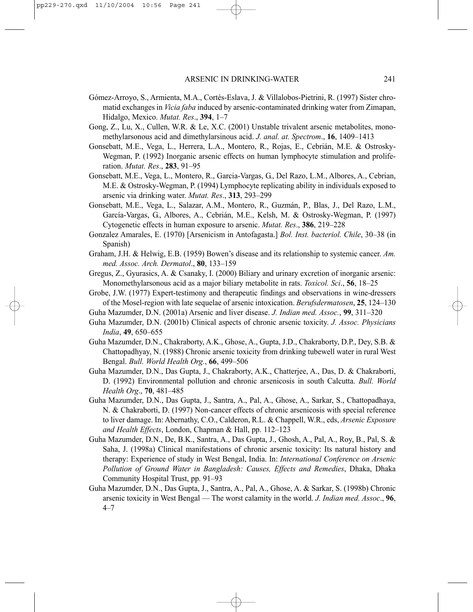- Gómez-Arroyo, S., Armienta, M.A., Cortés-Eslava, J. & Villalobos-Pietrini, R. (1997) Sister chromatid exchanges in *Vicia faba* induced by arsenic-contaminated drinking water from Zimapan, Hidalgo, Mexico. *Mutat. Res*., **394**, 1–7
- Gong, Z., Lu, X., Cullen, W.R. & Le, X.C. (2001) Unstable trivalent arsenic metabolites, monomethylarsonous acid and dimethylarsinous acid. *J. anal. at. Spectrom*., **16**, 1409–1413
- Gonsebatt, M.E., Vega, L., Herrera, L.A., Montero, R., Rojas, E., Cebrián, M.E. & Ostrosky-Wegman, P. (1992) Inorganic arsenic effects on human lymphocyte stimulation and proliferation. *Mutat. Res*., **283**, 91–95
- Gonsebatt, M.E., Vega, L., Montero, R., Garcia-Vargas, G., Del Razo, L.M., Albores, A., Cebrian, M.E. & Ostrosky-Wegman, P. (1994) Lymphocyte replicating ability in individuals exposed to arsenic via drinking water. *Mutat. Res*., **313**, 293–299
- Gonsebatt, M.E., Vega, L., Salazar, A.M., Montero, R., Guzmán, P., Blas, J., Del Razo, L.M., García-Vargas, G., Albores, A., Cebrián, M.E., Kelsh, M. & Ostrosky-Wegman, P. (1997) Cytogenetic effects in human exposure to arsenic. *Mutat. Res*., **386**, 219–228
- Gonzalez Amarales, E. (1970) [Arsenicism in Antofagasta.] *Bol. Inst. bacteriol. Chile*, 30–38 (in Spanish)
- Graham, J.H. & Helwig, E.B. (1959) Bowen's disease and its relationship to systemic cancer. *Am. med. Assoc. Arch. Dermatol*., **80**, 133–159
- Gregus, Z., Gyurasics, A. & Csanaky, I. (2000) Biliary and urinary excretion of inorganic arsenic: Monomethylarsonous acid as a major biliary metabolite in rats. *Toxicol. Sci*., **56**, 18–25
- Grobe, J.W. (1977) Expert-testimony and therapeutic findings and observations in wine-dressers of the Mosel-region with late sequelae of arsenic intoxication. *Berufsdermatosen*, **25**, 124–130
- Guha Mazumder, D.N. (2001a) Arsenic and liver disease. *J. Indian med. Assoc.*, **99**, 311–320
- Guha Mazumder, D.N. (2001b) Clinical aspects of chronic arsenic toxicity. *J. Assoc. Physicians India*, **49**, 650–655
- Guha Mazumder, D.N., Chakraborty, A.K., Ghose, A., Gupta, J.D., Chakraborty, D.P., Dey, S.B. & Chattopadhyay, N. (1988) Chronic arsenic toxicity from drinking tubewell water in rural West Bengal. *Bull. World Health Org.*, **66**, 499–506
- Guha Mazumder, D.N., Das Gupta, J., Chakraborty, A.K., Chatterjee, A., Das, D. & Chakraborti, D. (1992) Environmental pollution and chronic arsenicosis in south Calcutta. *Bull. World Health Org*., **70**, 481–485
- Guha Mazumder, D.N., Das Gupta, J., Santra, A., Pal, A., Ghose, A., Sarkar, S., Chattopadhaya, N. & Chakraborti, D. (1997) Non-cancer effects of chronic arsenicosis with special reference to liver damage. In: Abernathy, C.O., Calderon, R.L. & Chappell, W.R., eds, *Arsenic Exposure and Health Effects*, London, Chapman & Hall, pp. 112–123
- Guha Mazumder, D.N., De, B.K., Santra, A., Das Gupta, J., Ghosh, A., Pal, A., Roy, B., Pal, S. & Saha, J. (1998a) Clinical manifestations of chronic arsenic toxicity: Its natural history and therapy: Experience of study in West Bengal, India. In: *International Conference on Arsenic Pollution of Ground Water in Bangladesh: Causes, Effects and Remedies*, Dhaka, Dhaka Community Hospital Trust, pp. 91–93
- Guha Mazumder, D.N., Das Gupta, J., Santra, A., Pal, A., Ghose, A. & Sarkar, S. (1998b) Chronic arsenic toxicity in West Bengal — The worst calamity in the world. *J. Indian med. Assoc*., **96**, 4–7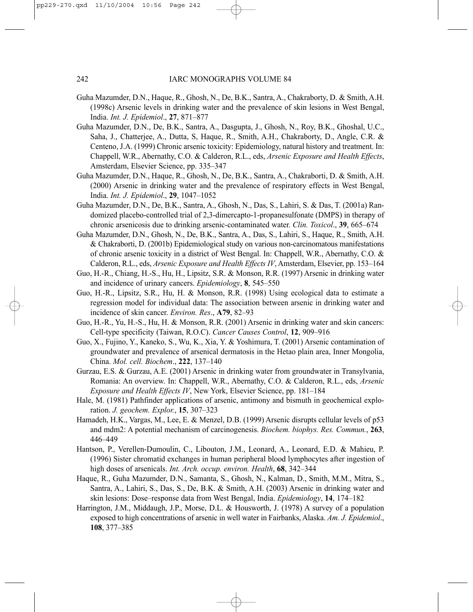- Guha Mazumder, D.N., Haque, R., Ghosh, N., De, B.K., Santra, A., Chakraborty, D. & Smith, A.H. (1998c) Arsenic levels in drinking water and the prevalence of skin lesions in West Bengal, India. *Int. J. Epidemiol*., **27**, 871–877
- Guha Mazumder, D.N., De, B.K., Santra, A., Dasgupta, J., Ghosh, N., Roy, B.K., Ghoshal, U.C., Saha, J., Chatterjee, A., Dutta, S, Haque, R., Smith, A.H., Chakraborty, D., Angle, C.R. & Centeno, J.A. (1999) Chronic arsenic toxicity: Epidemiology, natural history and treatment. In: Chappell, W.R., Abernathy, C.O. & Calderon, R.L., eds, *Arsenic Exposure and Health Effects*, Amsterdam, Elsevier Science, pp. 335–347
- Guha Mazumder, D.N., Haque, R., Ghosh, N., De, B.K., Santra, A., Chakraborti, D. & Smith, A.H. (2000) Arsenic in drinking water and the prevalence of respiratory effects in West Bengal, India. *Int. J. Epidemiol*., **29**, 1047–1052
- Guha Mazumder, D.N., De, B.K., Santra, A., Ghosh, N., Das, S., Lahiri, S. & Das, T. (2001a) Randomized placebo-controlled trial of 2,3-dimercapto-1-propanesulfonate (DMPS) in therapy of chronic arsenicosis due to drinking arsenic-contaminated water. *Clin. Toxicol*., **39**, 665–674
- Guha Mazumder, D.N., Ghosh, N., De, B.K., Santra, A., Das, S., Lahiri, S., Haque, R., Smith, A.H. & Chakraborti, D. (2001b) Epidemiological study on various non-carcinomatous manifestations of chronic arsenic toxicity in a district of West Bengal. In: Chappell, W.R., Abernathy, C.O. & Calderon, R.L., eds, *Arsenic Exposure and Health Effects IV*, Amsterdam, Elsevier, pp. 153–164
- Guo, H.-R., Chiang, H.-S., Hu, H., Lipsitz, S.R. & Monson, R.R. (1997) Arsenic in drinking water and incidence of urinary cancers. *Epidemiology*, **8**, 545–550
- Guo, H.-R., Lipsitz, S.R., Hu, H. & Monson, R.R. (1998) Using ecological data to estimate a regression model for individual data: The association between arsenic in drinking water and incidence of skin cancer. *Environ. Res*., **A79**, 82–93
- Guo, H.-R., Yu, H.-S., Hu, H. & Monson, R.R. (2001) Arsenic in drinking water and skin cancers: Cell-type specificity (Taiwan, R.O.C). *Cancer Causes Control*, **12**, 909–916
- Guo, X., Fujino, Y., Kaneko, S., Wu, K., Xia, Y. & Yoshimura, T. (2001) Arsenic contamination of groundwater and prevalence of arsenical dermatosis in the Hetao plain area, Inner Mongolia, China. *Mol. cell. Biochem*., **222**, 137–140
- Gurzau, E.S. & Gurzau, A.E. (2001) Arsenic in drinking water from groundwater in Transylvania, Romania: An overview. In: Chappell, W.R., Abernathy, C.O. & Calderon, R.L., eds, *Arsenic Exposure and Health Effects IV*, New York, Elsevier Science, pp. 181–184
- Hale, M. (1981) Pathfinder applications of arsenic, antimony and bismuth in geochemical exploration. *J. geochem. Explor.*, **15**, 307–323
- Hamadeh, H.K., Vargas, M., Lee, E. & Menzel, D.B. (1999) Arsenic disrupts cellular levels of p53 and mdm2: A potential mechanism of carcinogenesis. *Biochem. biophys. Res. Commun.*, **263**, 446–449
- Hantson, P., Verellen-Dumoulin, C., Libouton, J.M., Leonard, A., Leonard, E.D. & Mahieu, P. (1996) Sister chromatid exchanges in human peripheral blood lymphocytes after ingestion of high doses of arsenicals. *Int. Arch. occup. environ. Health*, **68**, 342–344
- Haque, R., Guha Mazumder, D.N., Samanta, S., Ghosh, N., Kalman, D., Smith, M.M., Mitra, S., Santra, A., Lahiri, S., Das, S., De, B.K. & Smith, A.H. (2003) Arsenic in drinking water and skin lesions: Dose–response data from West Bengal, India. *Epidemiology*, **14**, 174–182
- Harrington, J.M., Middaugh, J.P., Morse, D.L. & Housworth, J. (1978) A survey of a population exposed to high concentrations of arsenic in well water in Fairbanks, Alaska. *Am. J. Epidemiol*., **108**, 377–385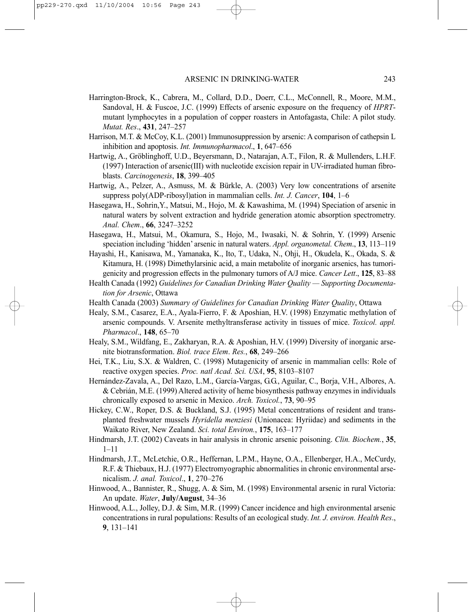- Harrington-Brock, K., Cabrera, M., Collard, D.D., Doerr, C.L., McConnell, R., Moore, M.M., Sandoval, H. & Fuscoe, J.C. (1999) Effects of arsenic exposure on the frequency of *HPRT*mutant lymphocytes in a population of copper roasters in Antofagasta, Chile: A pilot study. *Mutat. Res*., **431**, 247–257
- Harrison, M.T. & McCoy, K.L. (2001) Immunosuppression by arsenic: A comparison of cathepsin L inhibition and apoptosis. *Int. Immunopharmacol*., **1**, 647–656
- Hartwig, A., Gröblinghoff, U.D., Beyersmann, D., Natarajan, A.T., Filon, R. & Mullenders, L.H.F. (1997) Interaction of arsenic(III) with nucleotide excision repair in UV-irradiated human fibroblasts. *Carcinogenesis*, **18**, 399–405
- Hartwig, A., Pelzer, A., Asmuss, M. & Bürkle, A. (2003) Very low concentrations of arsenite suppress poly(ADP-ribosyl)ation in mammalian cells. *Int. J. Cancer*, **104**, 1–6
- Hasegawa, H., Sohrin,Y., Matsui, M., Hojo, M. & Kawashima, M. (1994) Speciation of arsenic in natural waters by solvent extraction and hydride generation atomic absorption spectrometry. *Anal. Chem*., **66**, 3247–3252
- Hasegawa, H., Matsui, M., Okamura, S., Hojo, M., Iwasaki, N. & Sohrin, Y. (1999) Arsenic speciation including 'hidden' arsenic in natural waters. *Appl. organometal. Chem*., **13**, 113–119
- Hayashi, H., Kanisawa, M., Yamanaka, K., Ito, T., Udaka, N., Ohji, H., Okudela, K., Okada, S. & Kitamura, H. (1998) Dimethylarsinic acid, a main metabolite of inorganic arsenics, has tumorigenicity and progression effects in the pulmonary tumors of A/J mice. *Cancer Lett*., **125**, 83–88
- Health Canada (1992) *Guidelines for Canadian Drinking Water Quality Supporting Documentation for Arsenic*, Ottawa
- Health Canada (2003) *Summary of Guidelines for Canadian Drinking Water Quality*, Ottawa
- Healy, S.M., Casarez, E.A., Ayala-Fierro, F. & Aposhian, H.V. (1998) Enzymatic methylation of arsenic compounds. V. Arsenite methyltransferase activity in tissues of mice. *Toxicol. appl. Pharmacol*., **148**, 65–70
- Healy, S.M., Wildfang, E., Zakharyan, R.A. & Aposhian, H.V. (1999) Diversity of inorganic arsenite biotransformation. *Biol. trace Elem*. *Res.*, **68**, 249–266
- Hei, T.K., Liu, S.X. & Waldren, C. (1998) Mutagenicity of arsenic in mammalian cells: Role of reactive oxygen species. *Proc. natl Acad. Sci. USA*, **95**, 8103–8107
- Hernández-Zavala, A., Del Razo, L.M., García-Vargas, G.G., Aguilar, C., Borja, V.H., Albores, A. & Cebrián, M.E. (1999) Altered activity of heme biosynthesis pathway enzymes in individuals chronically exposed to arsenic in Mexico. *Arch. Toxicol.*, **73**, 90–95
- Hickey, C.W., Roper, D.S. & Buckland, S.J. (1995) Metal concentrations of resident and transplanted freshwater mussels *Hyridella menziesi* (Unionacea: Hyriidae) and sediments in the Waikato River, New Zealand. *Sci. total Environ.*, **175**, 163–177
- Hindmarsh, J.T. (2002) Caveats in hair analysis in chronic arsenic poisoning. *Clin. Biochem.*, **35**, 1–11
- Hindmarsh, J.T., McLetchie, O.R., Heffernan, L.P.M., Hayne, O.A., Ellenberger, H.A., McCurdy, R.F. & Thiebaux, H.J. (1977) Electromyographic abnormalities in chronic environmental arsenicalism. *J. anal. Toxicol*., **1**, 270–276
- Hinwood, A., Bannister, R., Shugg, A. & Sim, M. (1998) Environmental arsenic in rural Victoria: An update. *Water*, **July/August**, 34–36
- Hinwood, A.L., Jolley, D.J. & Sim, M.R. (1999) Cancer incidence and high environmental arsenic concentrations in rural populations: Results of an ecological study. *Int. J. environ. Health Res*., **9**, 131–141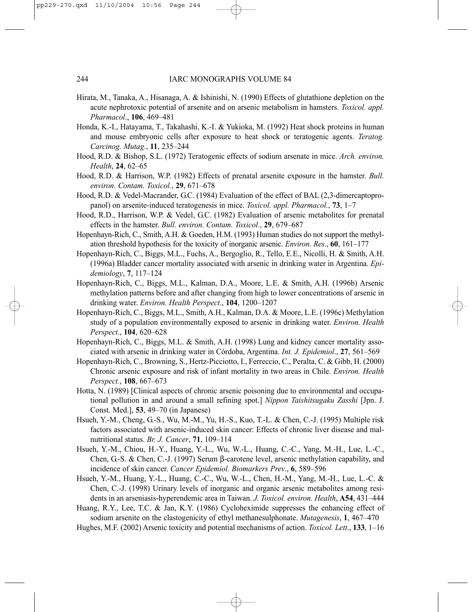- Hirata, M., Tanaka, A., Hisanaga, A. & Ishinishi, N. (1990) Effects of glutathione depletion on the acute nephrotoxic potential of arsenite and on arsenic metabolism in hamsters. *Toxicol. appl. Pharmacol*., **106**, 469–481
- Honda, K.-I., Hatayama, T., Takahashi, K.-I. & Yukioka, M. (1992) Heat shock proteins in human and mouse embryonic cells after exposure to heat shock or teratogenic agents. *Teratog. Carcinog. Mutag.*, **11**, 235–244
- Hood, R.D. & Bishop, S.L. (1972) Teratogenic effects of sodium arsenate in mice. *Arch. environ. Health*, **24**, 62–65
- Hood, R.D. & Harrison, W.P. (1982) Effects of prenatal arsenite exposure in the hamster. *Bull. environ. Contam. Toxicol.*, **29**, 671–678
- Hood, R.D. & Vedel-Macrander, G.C. (1984) Evaluation of the effect of BAL (2,3-dimercaptopropanol) on arsenite-induced teratogenesis in mice. *Toxicol. appl. Pharmacol.*, **73**, 1–7
- Hood, R.D., Harrison, W.P. & Vedel, G.C. (1982) Evaluation of arsenic metabolites for prenatal effects in the hamster. *Bull. environ. Contam. Toxicol.*, **29**, 679–687
- Hopenhayn-Rich, C., Smith, A.H. & Goeden, H.M. (1993) Human studies do not support the methylation threshold hypothesis for the toxicity of inorganic arsenic. *Environ. Res*., **60**, 161–177
- Hopenhayn-Rich, C., Biggs, M.L., Fuchs, A., Bergoglio, R., Tello, E.E., Nicolli, H. & Smith, A.H. (1996a) Bladder cancer mortality associated with arsenic in drinking water in Argentina. *Epidemiology*, **7**, 117–124
- Hopenhayn-Rich, C., Biggs, M.L., Kalman, D.A., Moore, L.E. & Smith, A.H. (1996b) Arsenic methylation patterns before and after changing from high to lower concentrations of arsenic in drinking water. *Environ. Health Perspect*., **104**, 1200–1207
- Hopenhayn-Rich, C., Biggs, M.L., Smith, A.H., Kalman, D.A. & Moore, L.E. (1996c) Methylation study of a population environmentally exposed to arsenic in drinking water. *Environ. Health Perspect*., **104**, 620–628
- Hopenhayn-Rich, C., Biggs, M.L. & Smith, A.H. (1998) Lung and kidney cancer mortality associated with arsenic in drinking water in Córdoba, Argentina. *Int. J. Epidemiol*., **27**, 561–569
- Hopenhayn-Rich, C., Browning, S., Hertz-Picciotto, I., Ferreccio, C., Peralta, C. & Gibb, H. (2000) Chronic arsenic exposure and risk of infant mortality in two areas in Chile. *Environ. Health Perspect.*, **108**, 667–673
- Hotta, N. (1989) [Clinical aspects of chronic arsenic poisoning due to environmental and occupational pollution in and around a small refining spot.] *Nippon Taishitsugaku Zasshi* [Jpn. J. Const. Med.], **53**, 49–70 (in Japanese)
- Hsueh, Y.-M., Cheng, G.-S., Wu, M.-M., Yu, H.-S., Kuo, T.-L. & Chen, C.-J. (1995) Multiple risk factors associated with arsenic-induced skin cancer: Effects of chronic liver disease and malnutritional status. *Br. J. Cancer*, **71**, 109–114
- Hsueh, Y.-M., Chiou, H.-Y., Huang, Y.-L., Wu, W.-L., Huang, C.-C., Yang, M.-H., Lue, L.-C., Chen, G.-S. & Chen, C.-J. (1997) Serum β-carotene level, arsenic methylation capability, and incidence of skin cancer. *Cancer Epidemiol. Biomarkers Prev*., **6**, 589–596
- Hsueh, Y.-M., Huang, Y.-L., Huang, C.-C., Wu, W.-L., Chen, H.-M., Yang, M.-H., Lue, L.-C. & Chen, C.-J. (1998) Urinary levels of inorganic and organic arsenic metabolites among residents in an arseniasis-hyperendemic area in Taiwan. *J. Toxicol. environ. Health*, **A54**, 431–444

Huang, R.Y., Lee, T.C. & Jan, K.Y. (1986) Cycloheximide suppresses the enhancing effect of sodium arsenite on the clastogenicity of ethyl methanesulphonate. *Mutagenesis*, **1**, 467–470

Hughes, M.F. (2002) Arsenic toxicity and potential mechanisms of action. *Toxicol. Lett*., **133**, 1–16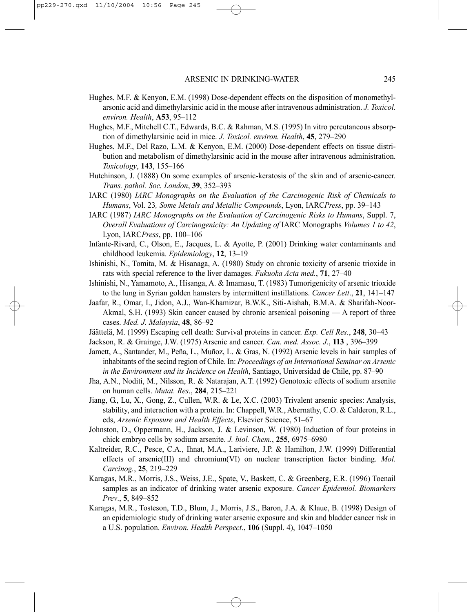- Hughes, M.F. & Kenyon, E.M. (1998) Dose-dependent effects on the disposition of monomethylarsonic acid and dimethylarsinic acid in the mouse after intravenous administration. *J. Toxicol. environ. Health*, **A53**, 95–112
- Hughes, M.F., Mitchell C.T., Edwards, B.C. & Rahman, M.S. (1995) In vitro percutaneous absorption of dimethylarsinic acid in mice. *J. Toxicol. environ. Health*, **45**, 279–290
- Hughes, M.F., Del Razo, L.M. & Kenyon, E.M. (2000) Dose-dependent effects on tissue distribution and metabolism of dimethylarsinic acid in the mouse after intravenous administration. *Toxicology*, **143**, 155–166
- Hutchinson, J. (1888) On some examples of arsenic-keratosis of the skin and of arsenic-cancer. *Trans. pathol. Soc. London*, **39**, 352–393
- IARC (1980) *IARC Monographs on the Evaluation of the Carcinogenic Risk of Chemicals to Humans*, Vol. 23*, Some Metals and Metallic Compounds*, Lyon, IARC*Press*, pp. 39–143
- IARC (1987) *IARC Monographs on the Evaluation of Carcinogenic Risks to Humans*, Suppl. 7, *Overall Evaluations of Carcinogenicity: An Updating of* IARC Monographs *Volumes 1 to 42*, Lyon, IARC*Press*, pp. 100–106
- Infante-Rivard, C., Olson, E., Jacques, L. & Ayotte, P. (2001) Drinking water contaminants and childhood leukemia. *Epidemiology*, **12**, 13–19
- Ishinishi, N., Tomita, M. & Hisanaga, A. (1980) Study on chronic toxicity of arsenic trioxide in rats with special reference to the liver damages. *Fukuoka Acta med.*, **71**, 27–40
- Ishinishi, N., Yamamoto, A., Hisanga, A. & Imamasu, T. (1983) Tumorigenicity of arsenic trioxide to the lung in Syrian golden hamsters by intermittent instillations. *Cancer Lett*., **21**, 141–147
- Jaafar, R., Omar, I., Jidon, A.J., Wan-Khamizar, B.W.K., Siti-Aishah, B.M.A. & Sharifah-Noor-Akmal, S.H. (1993) Skin cancer caused by chronic arsenical poisoning — A report of three cases. *Med. J. Malaysia*, **48**, 86–92
- Jäättelä, M. (1999) Escaping cell death: Survival proteins in cancer. *Exp. Cell Res.*, **248**, 30–43
- Jackson, R. & Grainge, J.W. (1975) Arsenic and cancer. *Can. med. Assoc. J*., **113** , 396–399
- Jamett, A., Santander, M., Peña, L., Muñoz, L. & Gras, N. (1992) Arsenic levels in hair samples of inhabitants of the secind region of Chile. In: *Proceedings of an International Seminar on Arsenic in the Environment and its Incidence on Health*, Santiago, Universidad de Chile, pp. 87–90
- Jha, A.N., Noditi, M., Nilsson, R. & Natarajan, A.T. (1992) Genotoxic effects of sodium arsenite on human cells. *Mutat. Res*., **284**, 215–221
- Jiang, G., Lu, X., Gong, Z., Cullen, W.R. & Le, X.C. (2003) Trivalent arsenic species: Analysis, stability, and interaction with a protein. In: Chappell, W.R., Abernathy, C.O. & Calderon, R.L., eds, *Arsenic Exposure and Health Effects*, Elsevier Science, 51–67
- Johnston, D., Oppermann, H., Jackson, J. & Levinson, W. (1980) Induction of four proteins in chick embryo cells by sodium arsenite. *J. biol. Chem.*, **255**, 6975–6980
- Kaltreider, R.C., Pesce, C.A., Ihnat, M.A., Lariviere, J.P. & Hamilton, J.W. (1999) Differential effects of arsenic(III) and chromium(VI) on nuclear transcription factor binding. *Mol. Carcinog.*, **25**, 219–229
- Karagas, M.R., Morris, J.S., Weiss, J.E., Spate, V., Baskett, C. & Greenberg, E.R. (1996) Toenail samples as an indicator of drinking water arsenic exposure. *Cancer Epidemiol. Biomarkers Prev*., **5**, 849–852
- Karagas, M.R., Tosteson, T.D., Blum, J., Morris, J.S., Baron, J.A. & Klaue, B. (1998) Design of an epidemiologic study of drinking water arsenic exposure and skin and bladder cancer risk in a U.S. population. *Environ. Health Perspect*., **106** (Suppl. 4), 1047–1050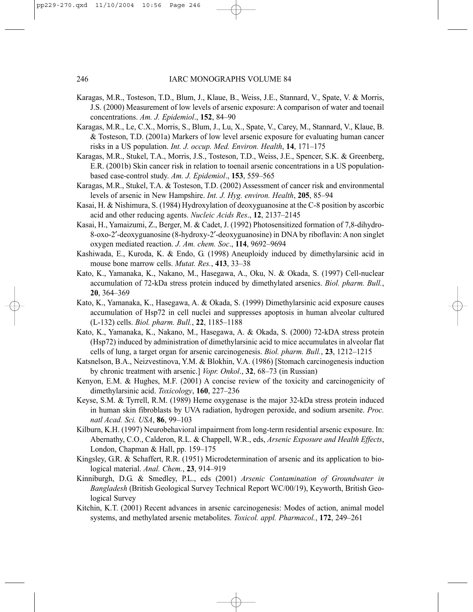- Karagas, M.R., Tosteson, T.D., Blum, J., Klaue, B., Weiss, J.E., Stannard, V., Spate, V. & Morris, J.S. (2000) Measurement of low levels of arsenic exposure: A comparison of water and toenail concentrations. *Am. J. Epidemiol*., **152**, 84–90
- Karagas, M.R., Le, C.X., Morris, S., Blum, J., Lu, X., Spate, V., Carey, M., Stannard, V., Klaue, B. & Tosteson, T.D. (2001a) Markers of low level arsenic exposure for evaluating human cancer risks in a US population. *Int. J. occup. Med. Environ. Health*, **14**, 171–175
- Karagas, M.R., Stukel, T.A., Morris, J.S., Tosteson, T.D., Weiss, J.E., Spencer, S.K. & Greenberg, E.R. (2001b) Skin cancer risk in relation to toenail arsenic concentrations in a US populationbased case-control study. *Am. J. Epidemiol*., **153**, 559–565
- Karagas, M.R., Stukel, T.A. & Tosteson, T.D. (2002) Assessment of cancer risk and environmental levels of arsenic in New Hampshire. *Int. J. Hyg. environ. Health*, **205**, 85–94
- Kasai, H. & Nishimura, S. (1984) Hydroxylation of deoxyguanosine at the C-8 position by ascorbic acid and other reducing agents. *Nucleic Acids Res*., **12**, 2137–2145
- Kasai, H., Yamaizumi, Z., Berger, M. & Cadet, J. (1992) Photosensitized formation of 7,8-dihydro-8-oxo-2′-deoxyguanosine (8-hydroxy-2′-deoxyguanosine) in DNA by riboflavin: A non singlet oxygen mediated reaction. *J. Am. chem. Soc*., **114**, 9692–9694
- Kashiwada, E., Kuroda, K. & Endo, G. (1998) Aneuploidy induced by dimethylarsinic acid in mouse bone marrow cells. *Mutat. Res.*, **413**, 33–38
- Kato, K., Yamanaka, K., Nakano, M., Hasegawa, A., Oku, N. & Okada, S. (1997) Cell-nuclear accumulation of 72-kDa stress protein induced by dimethylated arsenics. *Biol. pharm. Bull.*, **20**, 364–369
- Kato, K., Yamanaka, K., Hasegawa, A. & Okada, S. (1999) Dimethylarsinic acid exposure causes accumulation of Hsp72 in cell nuclei and suppresses apoptosis in human alveolar cultured (L-132) cells. *Biol. pharm. Bull.*, **22**, 1185–1188
- Kato, K., Yamanaka, K., Nakano, M., Hasegawa, A. & Okada, S. (2000) 72-kDA stress protein (Hsp72) induced by administration of dimethylarsinic acid to mice accumulates in alveolar flat cells of lung, a target organ for arsenic carcinogenesis. *Biol. pharm. Bull.*, **23**, 1212–1215
- Katsnelson, B.A., Neizvestinova, Y.M. & Blokhin, V.A. (1986) [Stomach carcinogenesis induction by chronic treatment with arsenic.] *Vopr. Onkol*., **32**, 68–73 (in Russian)
- Kenyon, E.M. & Hughes, M.F. (2001) A concise review of the toxicity and carcinogenicity of dimethylarsinic acid. *Toxicology*, **160**, 227–236
- Keyse, S.M. & Tyrrell, R.M. (1989) Heme oxygenase is the major 32-kDa stress protein induced in human skin fibroblasts by UVA radiation, hydrogen peroxide, and sodium arsenite. *Proc. natl Acad. Sci. USA*, **86**, 99–103
- Kilburn, K.H. (1997) Neurobehavioral impairment from long-term residential arsenic exposure. In: Abernathy, C.O., Calderon, R.L. & Chappell, W.R., eds, *Arsenic Exposure and Health Effects*, London, Chapman & Hall, pp. 159–175
- Kingsley, G.R. & Schaffert, R.R. (1951) Microdetermination of arsenic and its application to biological material. *Anal. Chem.*, **23**, 914–919
- Kinniburgh, D.G. & Smedley, P.L., eds (2001) *Arsenic Contamination of Groundwater in Bangladesh* (British Geological Survey Technical Report WC/00/19), Keyworth, British Geological Survey
- Kitchin, K.T. (2001) Recent advances in arsenic carcinogenesis: Modes of action, animal model systems, and methylated arsenic metabolites. *Toxicol. appl. Pharmacol.*, **172**, 249–261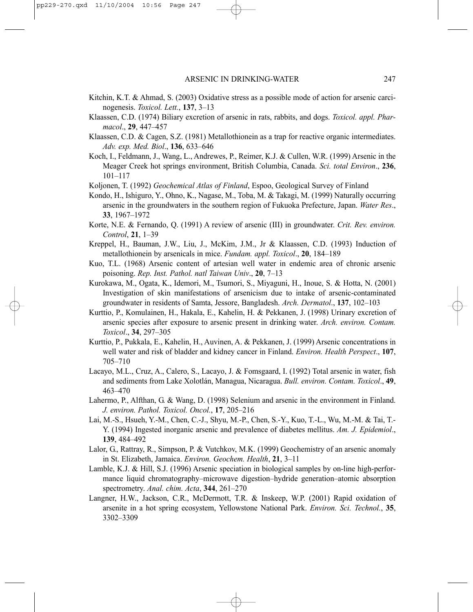- Kitchin, K.T. & Ahmad, S. (2003) Oxidative stress as a possible mode of action for arsenic carcinogenesis. *Toxicol. Lett.*, **137**, 3–13
- Klaassen, C.D. (1974) Biliary excretion of arsenic in rats, rabbits, and dogs. *Toxicol. appl. Pharmacol*., **29**, 447–457
- Klaassen, C.D. & Cagen, S.Z. (1981) Metallothionein as a trap for reactive organic intermediates. *Adv. exp. Med. Biol*., **136**, 633–646
- Koch, I., Feldmann, J., Wang, L., Andrewes, P., Reimer, K.J. & Cullen, W.R. (1999) Arsenic in the Meager Creek hot springs environment, British Columbia, Canada. *Sci. total Environ*., **236**, 101–117
- Koljonen, T. (1992) *Geochemical Atlas of Finland*, Espoo, Geological Survey of Finland
- Kondo, H., Ishiguro, Y., Ohno, K., Nagase, M., Toba, M. & Takagi, M. (1999) Naturally occurring arsenic in the groundwaters in the southern region of Fukuoka Prefecture, Japan. *Water Res*., **33**, 1967–1972
- Korte, N.E. & Fernando, Q. (1991) A review of arsenic (III) in groundwater. *Crit. Rev. environ. Control*, **21**, 1–39
- Kreppel, H., Bauman, J.W., Liu, J., McKim, J.M., Jr & Klaassen, C.D. (1993) Induction of metallothionein by arsenicals in mice. *Fundam. appl. Toxicol*., **20**, 184–189
- Kuo, T.L. (1968) Arsenic content of artesian well water in endemic area of chronic arsenic poisoning. *Rep. Inst. Pathol. natl Taiwan Univ*., **20**, 7–13
- Kurokawa, M., Ogata, K., Idemori, M., Tsumori, S., Miyaguni, H., Inoue, S. & Hotta, N. (2001) Investigation of skin manifestations of arsenicism due to intake of arsenic-contaminated groundwater in residents of Samta, Jessore, Bangladesh. *Arch. Dermatol*., **137**, 102–103
- Kurttio, P., Komulainen, H., Hakala, E., Kahelin, H. & Pekkanen, J. (1998) Urinary excretion of arsenic species after exposure to arsenic present in drinking water. *Arch. environ. Contam. Toxicol*., **34**, 297–305
- Kurttio, P., Pukkala, E., Kahelin, H., Auvinen, A. & Pekkanen, J. (1999) Arsenic concentrations in well water and risk of bladder and kidney cancer in Finland. *Environ. Health Perspect*., **107**, 705–710
- Lacayo, M.L., Cruz, A., Calero, S., Lacayo, J. & Fomsgaard, I. (1992) Total arsenic in water, fish and sediments from Lake Xolotlán, Managua, Nicaragua. *Bull. environ. Contam. Toxicol*., **49**, 463–470
- Lahermo, P., Alfthan, G. & Wang, D. (1998) Selenium and arsenic in the environment in Finland. *J. environ. Pathol. Toxicol. Oncol.*, **17**, 205–216
- Lai, M.-S., Hsueh, Y.-M., Chen, C.-J., Shyu, M.-P., Chen, S.-Y., Kuo, T.-L., Wu, M.-M. & Tai, T.- Y. (1994) Ingested inorganic arsenic and prevalence of diabetes mellitus. *Am. J. Epidemiol*., **139**, 484–492
- Lalor, G., Rattray, R., Simpson, P. & Vutchkov, M.K. (1999) Geochemistry of an arsenic anomaly in St. Elizabeth, Jamaica. *Environ. Geochem. Health*, **21**, 3–11
- Lamble, K.J. & Hill, S.J. (1996) Arsenic speciation in biological samples by on-line high-performance liquid chromatography–microwave digestion–hydride generation–atomic absorption spectrometry. *Anal. chim. Acta*, **344**, 261–270
- Langner, H.W., Jackson, C.R., McDermott, T.R. & Inskeep, W.P. (2001) Rapid oxidation of arsenite in a hot spring ecosystem, Yellowstone National Park. *Environ. Sci. Technol.*, **35**, 3302–3309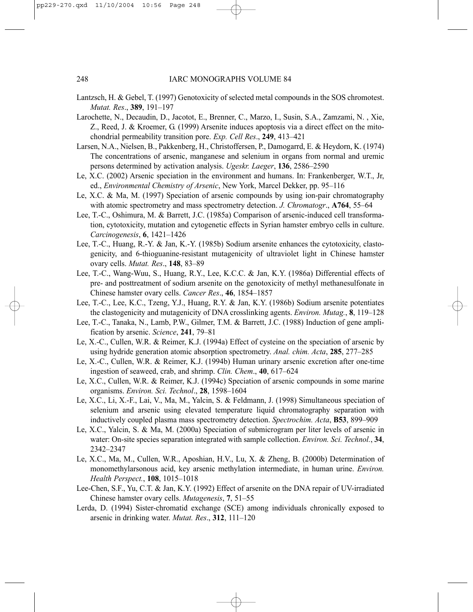- Lantzsch, H. & Gebel, T. (1997) Genotoxicity of selected metal compounds in the SOS chromotest. *Mutat. Res*., **389**, 191–197
- Larochette, N., Decaudin, D., Jacotot, E., Brenner, C., Marzo, I., Susin, S.A., Zamzami, N. , Xie, Z., Reed, J. & Kroemer, G. (1999) Arsenite induces apoptosis via a direct effect on the mitochondrial permeability transition pore. *Exp. Cell Res*., **249**, 413–421
- Larsen, N.A., Nielsen, B., Pakkenberg, H., Christoffersen, P., Damogarrd, E. & Heydorn, K. (1974) The concentrations of arsenic, manganese and selenium in organs from normal and uremic persons determined by activation analysis. *Ugeskr. Laeger*, **136**, 2586–2590
- Le, X.C. (2002) Arsenic speciation in the environment and humans. In: Frankenberger, W.T., Jr, ed., *Environmental Chemistry of Arsenic*, New York, Marcel Dekker, pp. 95–116
- Le, X.C. & Ma, M. (1997) Speciation of arsenic compounds by using ion-pair chromatography with atomic spectrometry and mass spectrometry detection. *J. Chromatogr*., **A764**, 55–64
- Lee, T.-C., Oshimura, M. & Barrett, J.C. (1985a) Comparison of arsenic-induced cell transformation, cytotoxicity, mutation and cytogenetic effects in Syrian hamster embryo cells in culture. *Carcinogenesis*, **6**, 1421–1426
- Lee, T.-C., Huang, R.-Y. & Jan, K.-Y. (1985b) Sodium arsenite enhances the cytotoxicity, clastogenicity, and 6-thioguanine-resistant mutagenicity of ultraviolet light in Chinese hamster ovary cells. *Mutat. Res*., **148**, 83–89
- Lee, T.-C., Wang-Wuu, S., Huang, R.Y., Lee, K.C.C. & Jan, K.Y. (1986a) Differential effects of pre- and posttreatment of sodium arsenite on the genotoxicity of methyl methanesulfonate in Chinese hamster ovary cells. *Cancer Res*., **46**, 1854–1857
- Lee, T.-C., Lee, K.C., Tzeng, Y.J., Huang, R.Y. & Jan, K.Y. (1986b) Sodium arsenite potentiates the clastogenicity and mutagenicity of DNA crosslinking agents. *Environ. Mutag.*, **8**, 119–128
- Lee, T.-C., Tanaka, N., Lamb, P.W., Gilmer, T.M. & Barrett, J.C. (1988) Induction of gene amplification by arsenic. *Science*, **241**, 79–81
- Le, X.-C., Cullen, W.R. & Reimer, K.J. (1994a) Effect of cysteine on the speciation of arsenic by using hydride generation atomic absorption spectrometry. *Anal. chim. Acta*, **285**, 277–285
- Le, X.-C., Cullen, W.R. & Reimer, K.J. (1994b) Human urinary arsenic excretion after one-time ingestion of seaweed, crab, and shrimp. *Clin. Chem*., **40**, 617–624
- Le, X.C., Cullen, W.R. & Reimer, K.J. (1994c) Speciation of arsenic compounds in some marine organisms. *Environ. Sci. Technol*., **28**, 1598–1604
- Le, X.C., Li, X.-F., Lai, V., Ma, M., Yalcin, S. & Feldmann, J. (1998) Simultaneous speciation of selenium and arsenic using elevated temperature liquid chromatography separation with inductively coupled plasma mass spectrometry detection. *Spectrochim. Acta*, **B53**, 899–909
- Le, X.C., Yalcin, S. & Ma, M. (2000a) Speciation of submicrogram per liter levels of arsenic in water: On-site species separation integrated with sample collection. *Environ. Sci. Technol.*, **34**, 2342–2347
- Le, X.C., Ma, M., Cullen, W.R., Aposhian, H.V., Lu, X. & Zheng, B. (2000b) Determination of monomethylarsonous acid, key arsenic methylation intermediate, in human urine. *Environ. Health Perspect.*, **108**, 1015–1018
- Lee-Chen, S.F., Yu, C.T. & Jan, K.Y. (1992) Effect of arsenite on the DNA repair of UV-irradiated Chinese hamster ovary cells. *Mutagenesis*, **7**, 51–55
- Lerda, D. (1994) Sister-chromatid exchange (SCE) among individuals chronically exposed to arsenic in drinking water. *Mutat. Res*., **312**, 111–120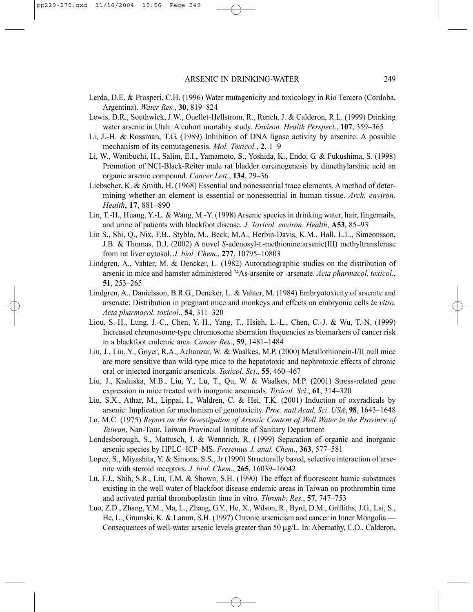- Lerda, D.E. & Prosperi, C.H. (1996) Water mutagenicity and toxicology in Rio Tercero (Cordoba, Argentina). *Water Res.*, **30**, 819–824
- Lewis, D.R., Southwick, J.W., Ouellet-Hellstrom, R., Rench, J. & Calderon, R.L. (1999) Drinking water arsenic in Utah: A cohort mortality study. *Environ. Health Perspect*., **107**, 359–365
- Li, J.-H. & Rossman, T.G. (1989) Inhibition of DNA ligase activity by arsenite: A possible mechanism of its comutagenesis. *Mol. Toxicol.*, **2**, 1–9
- Li, W., Wanibuchi, H., Salim, E.I., Yamamoto, S., Yoshida, K., Endo, G. & Fukushima, S. (1998) Promotion of NCI-Black-Reiter male rat bladder carcinogenesis by dimethylarsinic acid an organic arsenic compound. *Cancer Lett*., **134**, 29–36
- Liebscher, K. & Smith, H. (1968) Essential and nonessential trace elements. A method of determining whether an element is essential or nonessential in human tissue. *Arch. environ. Health*, **17**, 881–890
- Lin, T.-H., Huang, Y.-L. & Wang, M.-Y. (1998) Arsenic species in drinking water, hair, fingernails, and urine of patients with blackfoot disease. *J. Toxicol. environ. Health*, **A53**, 85–93
- Lin S., Shi, Q., Nix, F.B., Styblo, M., Beck, M.A., Herbin-Davis, K.M., Hall, L.L., Simeonsson, J.B. & Thomas, D.J. (2002) A novel *S*-adenosyl-L-methionine:arsenic(III) methyltransferase from rat liver cytosol. *J. biol. Chem*., **277**, 10795–10803
- Lindgren, A., Vahter, M. & Dencker, L. (1982) Autoradiographic studies on the distribution of arsenic in mice and hamster administered 74As-arsenite or -arsenate. *Acta pharmacol. toxicol*., **51**, 253–265
- Lindgren, A., Danielsson, B.R.G., Dencker, L. & Vahter, M. (1984) Embryotoxicity of arsenite and arsenate: Distribution in pregnant mice and monkeys and effects on embryonic cells *in vitro*. *Acta pharmacol. toxicol*., **54**, 311–320
- Liou, S.-H., Lung, J.-C., Chen, Y.-H., Yang, T., Hsieh, L.-L., Chen, C.-J. & Wu, T.-N. (1999) Increased chromosome-type chromosome aberration frequencies as biomarkers of cancer risk in a blackfoot endemic area. *Cancer Res*., **59**, 1481–1484
- Liu, J., Liu, Y., Goyer, R.A., Achanzar, W. & Waalkes, M.P. (2000) Metallothionein-I/II null mice are more sensitive than wild-type mice to the hepatotoxic and nephrotoxic effects of chronic oral or injected inorganic arsenicals. *Toxicol. Sci*., **55**, 460–467
- Liu, J., Kadiiska, M.B., Liu, Y., Lu, T., Qu, W. & Waalkes, M.P. (2001) Stress-related gene expression in mice treated with inorganic arsenicals. *Toxicol. Sci*., **61**, 314–320
- Liu, S.X., Athar, M., Lippai, I., Waldren, C. & Hei, T.K. (2001) Induction of oxyradicals by arsenic: Implication for mechanism of genotoxicity. *Proc. natl Acad. Sci. USA*, **98**, 1643–1648
- Lo, M.C. (1975) *Report on the Investigation of Arsenic Content of Well Water in the Province of Taiwan*, Nan-Tour, Taiwan Provincial Institute of Sanitary Department
- Londesborough, S., Mattusch, J. & Wennrich, R. (1999) Separation of organic and inorganic arsenic species by HPLC–ICP–MS. *Fresenius J. anal. Chem*., **363**, 577–581
- Lopez, S., Miyashita, Y. & Simons, S.S., Jr (1990) Structurally based, selective interaction of arsenite with steroid receptors. *J. biol. Chem.*, **265**, 16039–16042
- Lu, F.J., Shih, S.R., Liu, T.M. & Shown, S.H. (1990) The effect of fluorescent humic substances existing in the well water of blackfoot disease endemic areas in Taiwan on prothrombin time and activated partial thromboplastin time in vitro. *Thromb. Res.*, **57**, 747–753
- Luo, Z.D., Zhang, Y.M., Ma, L., Zhang, G.Y., He, X., Wilson, R., Byrd, D.M., Griffiths, J.G., Lai, S., He, L., Grumski, K. & Lamm, S.H. (1997) Chronic arsenicism and cancer in Inner Mongolia — Consequences of well-water arsenic levels greater than 50 µg/L. In: Abernathy, C.O., Calderon,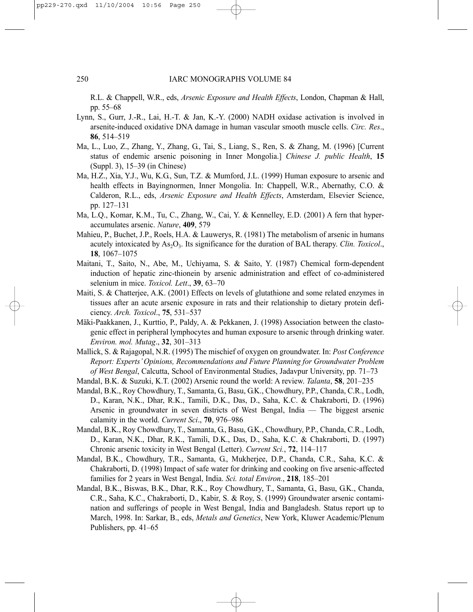R.L. & Chappell, W.R., eds, *Arsenic Exposure and Health Effects*, London, Chapman & Hall, pp. 55–68

- Lynn, S., Gurr, J.-R., Lai, H.-T. & Jan, K.-Y. (2000) NADH oxidase activation is involved in arsenite-induced oxidative DNA damage in human vascular smooth muscle cells. *Circ. Res*., **86**, 514–519
- Ma, L., Luo, Z., Zhang, Y., Zhang, G., Tai, S., Liang, S., Ren, S. & Zhang, M. (1996) [Current status of endemic arsenic poisoning in Inner Mongolia.] *Chinese J. public Health*, **15** (Suppl. 3), 15–39 (in Chinese)
- Ma, H.Z., Xia, Y.J., Wu, K.G., Sun, T.Z. & Mumford, J.L. (1999) Human exposure to arsenic and health effects in Bayingnormen, Inner Mongolia. In: Chappell, W.R., Abernathy, C.O. & Calderon, R.L., eds, *Arsenic Exposure and Health Effects*, Amsterdam, Elsevier Science, pp. 127–131
- Ma, L.Q., Komar, K.M., Tu, C., Zhang, W., Cai, Y. & Kennelley, E.D. (2001) A fern that hyperaccumulates arsenic. *Nature*, **409**, 579
- Mahieu, P., Buchet, J.P., Roels, H.A. & Lauwerys, R. (1981) The metabolism of arsenic in humans acutely intoxicated by As<sub>2</sub>O<sub>3</sub>. Its significance for the duration of BAL therapy. *Clin. Toxicol.*, **18**, 1067–1075
- Maitani, T., Saito, N., Abe, M., Uchiyama, S. & Saito, Y. (1987) Chemical form-dependent induction of hepatic zinc-thionein by arsenic administration and effect of co-administered selenium in mice. *Toxicol. Lett*., **39**, 63–70
- Maiti, S. & Chatterjee, A.K. (2001) Effects on levels of glutathione and some related enzymes in tissues after an acute arsenic exposure in rats and their relationship to dietary protein deficiency. *Arch. Toxicol*., **75**, 531–537
- Mäki-Paakkanen, J., Kurttio, P., Paldy, A. & Pekkanen, J. (1998) Association between the clastogenic effect in peripheral lymphocytes and human exposure to arsenic through drinking water. *Environ. mol. Mutag*., **32**, 301–313
- Mallick, S. & Rajagopal, N.R. (1995) The mischief of oxygen on groundwater. In: *Post Conference Report: Experts' Opinions, Recommendations and Future Planning for Groundwater Problem of West Bengal*, Calcutta, School of Environmental Studies, Jadavpur University, pp. 71–73
- Mandal, B.K. & Suzuki, K.T. (2002) Arsenic round the world: A review. *Talanta*, **58**, 201–235
- Mandal, B.K., Roy Chowdhury, T., Samanta, G., Basu, G.K., Chowdhury, P.P., Chanda, C.R., Lodh, D., Karan, N.K., Dhar, R.K., Tamili, D.K., Das, D., Saha, K.C. & Chakraborti, D. (1996) Arsenic in groundwater in seven districts of West Bengal, India — The biggest arsenic calamity in the world. *Current Sci*., **70**, 976–986
- Mandal, B.K., Roy Chowdhury, T., Samanta, G., Basu, G.K., Chowdhury, P.P., Chanda, C.R., Lodh, D., Karan, N.K., Dhar, R.K., Tamili, D.K., Das, D., Saha, K.C. & Chakraborti, D. (1997) Chronic arsenic toxicity in West Bengal (Letter). *Current Sci.*, **72**, 114–117
- Mandal, B.K., Chowdhury, T.R., Samanta, G., Mukherjee, D.P., Chanda, C.R., Saha, K.C. & Chakraborti, D. (1998) Impact of safe water for drinking and cooking on five arsenic-affected families for 2 years in West Bengal, India. *Sci. total Environ.*, **218**, 185–201
- Mandal, B.K., Biswas, B.K., Dhar, R.K., Roy Chowdhury, T., Samanta, G., Basu, G.K., Chanda, C.R., Saha, K.C., Chakraborti, D., Kabir, S. & Roy, S. (1999) Groundwater arsenic contamination and sufferings of people in West Bengal, India and Bangladesh. Status report up to March, 1998. In: Sarkar, B., eds, *Metals and Genetics*, New York, Kluwer Academic/Plenum Publishers, pp. 41–65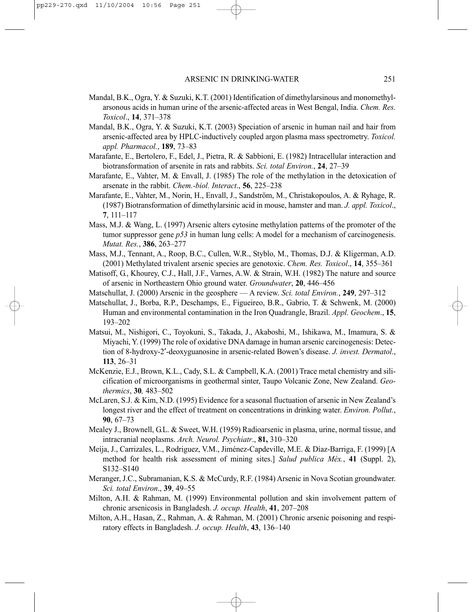- Mandal, B.K., Ogra, Y. & Suzuki, K.T. (2001) Identification of dimethylarsinous and monomethylarsonous acids in human urine of the arsenic-affected areas in West Bengal, India. *Chem. Res. Toxicol*., **14**, 371–378
- Mandal, B.K., Ogra, Y. & Suzuki, K.T. (2003) Speciation of arsenic in human nail and hair from arsenic-affected area by HPLC-inductively coupled argon plasma mass spectrometry. *Toxicol. appl. Pharmacol.*, **189**, 73–83
- Marafante, E., Bertolero, F., Edel, J., Pietra, R. & Sabbioni, E. (1982) Intracellular interaction and biotransformation of arsenite in rats and rabbits. *Sci. total Environ.*, **24**, 27–39
- Marafante, E., Vahter, M. & Envall, J. (1985) The role of the methylation in the detoxication of arsenate in the rabbit. *Chem.-biol. Interact*., **56**, 225–238
- Marafante, E., Vahter, M., Norin, H., Envall, J., Sandström, M., Christakopoulos, A. & Ryhage, R. (1987) Biotransformation of dimethylarsinic acid in mouse, hamster and man. *J. appl. Toxicol*., **7**, 111–117
- Mass, M.J. & Wang, L. (1997) Arsenic alters cytosine methylation patterns of the promoter of the tumor suppressor gene *p53* in human lung cells: A model for a mechanism of carcinogenesis. *Mutat. Res.*, **386**, 263–277
- Mass, M.J., Tennant, A., Roop, B.C., Cullen, W.R., Styblo, M., Thomas, D.J. & Kligerman, A.D. (2001) Methylated trivalent arsenic species are genotoxic. *Chem. Res. Toxicol*., **14**, 355–361
- Matisoff, G., Khourey, C.J., Hall, J.F., Varnes, A.W. & Strain, W.H. (1982) The nature and source of arsenic in Northeastern Ohio ground water. *Groundwater*, **20**, 446–456
- Matschullat, J. (2000) Arsenic in the geosphere A review. *Sci. total Environ.*, **249**, 297–312
- Matschullat, J., Borba, R.P., Deschamps, E., Figueireo, B.R., Gabrio, T. & Schwenk, M. (2000) Human and environmental contamination in the Iron Quadrangle, Brazil. *Appl. Geochem*., **15**, 193–202
- Matsui, M., Nishigori, C., Toyokuni, S., Takada, J., Akaboshi, M., Ishikawa, M., Imamura, S. & Miyachi, Y. (1999) The role of oxidative DNA damage in human arsenic carcinogenesis: Detection of 8-hydroxy-2′-deoxyguanosine in arsenic-related Bowen's disease. *J. invest. Dermatol*., **113**, 26–31
- McKenzie, E.J., Brown, K.L., Cady, S.L. & Campbell, K.A. (2001) Trace metal chemistry and silicification of microorganisms in geothermal sinter, Taupo Volcanic Zone, New Zealand. *Geothermics*, **30***,* 483–502
- McLaren, S.J. & Kim, N.D. (1995) Evidence for a seasonal fluctuation of arsenic in New Zealand's longest river and the effect of treatment on concentrations in drinking water. *Environ. Pollut.*, **90**, 67–73
- Mealey J., Brownell, G.L. & Sweet, W.H. (1959) Radioarsenic in plasma, urine, normal tissue, and intracranial neoplasms. *Arch. Neurol. Psychiatr*., **81,** 310–320
- Meíja, J., Carrizales, L., Rodriguez, V.M., Jiménez-Capdeville, M.E. & Díaz-Barriga, F. (1999) [A method for health risk assessment of mining sites.] *Salud publica Méx.*, **41** (Suppl. 2), S132–S140
- Meranger, J.C., Subramanian, K.S. & McCurdy, R.F. (1984) Arsenic in Nova Scotian groundwater. *Sci. total Environ*., **39**, 49–55
- Milton, A.H. & Rahman, M. (1999) Environmental pollution and skin involvement pattern of chronic arsenicosis in Bangladesh. *J. occup. Health*, **41**, 207–208
- Milton, A.H., Hasan, Z., Rahman, A. & Rahman, M. (2001) Chronic arsenic poisoning and respiratory effects in Bangladesh. *J. occup. Health*, **43**, 136–140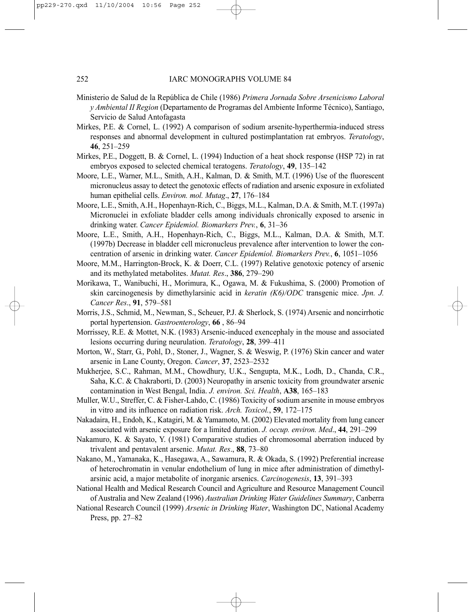- Ministerio de Salud de la República de Chile (1986) *Primera Jornada Sobre Arsenicismo Laboral y Ambiental II Region* (Departamento de Programas del Ambiente Informe Técnico), Santiago, Servicio de Salud Antofagasta
- Mirkes, P.E. & Cornel, L. (1992) A comparison of sodium arsenite-hyperthermia-induced stress responses and abnormal development in cultured postimplantation rat embryos. *Teratology*, **46**, 251–259
- Mirkes, P.E., Doggett, B. & Cornel, L. (1994) Induction of a heat shock response (HSP 72) in rat embryos exposed to selected chemical teratogens. *Teratology*, **49**, 135–142
- Moore, L.E., Warner, M.L., Smith, A.H., Kalman, D. & Smith, M.T. (1996) Use of the fluorescent micronucleus assay to detect the genotoxic effects of radiation and arsenic exposure in exfoliated human epithelial cells. *Environ. mol. Mutag*., **27**, 176–184
- Moore, L.E., Smith, A.H., Hopenhayn-Rich, C., Biggs, M.L., Kalman, D.A. & Smith, M.T. (1997a) Micronuclei in exfoliate bladder cells among individuals chronically exposed to arsenic in drinking water. *Cancer Epidemiol. Biomarkers Prev.*, **6**, 31–36
- Moore, L.E., Smith, A.H., Hopenhayn-Rich, C., Biggs, M.L., Kalman, D.A. & Smith, M.T. (1997b) Decrease in bladder cell micronucleus prevalence after intervention to lower the concentration of arsenic in drinking water. *Cancer Epidemiol. Biomarkers Prev.*, **6**, 1051–1056
- Moore, M.M., Harrington-Brock, K. & Doerr, C.L. (1997) Relative genotoxic potency of arsenic and its methylated metabolites. *Mutat. Res*., **386**, 279–290
- Morikawa, T., Wanibuchi, H., Morimura, K., Ogawa, M. & Fukushima, S. (2000) Promotion of skin carcinogenesis by dimethylarsinic acid in *keratin (K6)/ODC* transgenic mice. *Jpn. J. Cancer Res*., **91**, 579–581
- Morris, J.S., Schmid, M., Newman, S., Scheuer, P.J. & Sherlock, S. (1974) Arsenic and noncirrhotic portal hypertension. *Gastroenterology*, **66** , 86–94
- Morrissey, R.E. & Mottet, N.K. (1983) Arsenic-induced exencephaly in the mouse and associated lesions occurring during neurulation. *Teratology*, **28**, 399–411
- Morton, W., Starr, G., Pohl, D., Stoner, J., Wagner, S. & Weswig, P. (1976) Skin cancer and water arsenic in Lane County, Oregon. *Cancer*, **37**, 2523–2532
- Mukherjee, S.C., Rahman, M.M., Chowdhury, U.K., Sengupta, M.K., Lodh, D., Chanda, C.R., Saha, K.C. & Chakraborti, D. (2003) Neuropathy in arsenic toxicity from groundwater arsenic contamination in West Bengal, India. *J. environ. Sci. Health*, **A38**, 165–183
- Muller, W.U., Streffer, C. & Fisher-Lahdo, C. (1986) Toxicity of sodium arsenite in mouse embryos in vitro and its influence on radiation risk. *Arch. Toxicol.*, **59**, 172–175
- Nakadaira, H., Endoh, K., Katagiri, M. & Yamamoto, M. (2002) Elevated mortality from lung cancer associated with arsenic exposure for a limited duration. *J. occup. environ. Med*., **44**, 291–299
- Nakamuro, K. & Sayato, Y. (1981) Comparative studies of chromosomal aberration induced by trivalent and pentavalent arsenic. *Mutat. Res*., **88**, 73–80
- Nakano, M., Yamanaka, K., Hasegawa, A., Sawamura, R. & Okada, S. (1992) Preferential increase of heterochromatin in venular endothelium of lung in mice after administration of dimethylarsinic acid, a major metabolite of inorganic arsenics. *Carcinogenesis*, **13**, 391–393
- National Health and Medical Research Council and Agriculture and Resource Management Council of Australia and New Zealand (1996) *Australian Drinking Water Guidelines Summary*, Canberra
- National Research Council (1999) *Arsenic in Drinking Water*, Washington DC, National Academy Press, pp. 27–82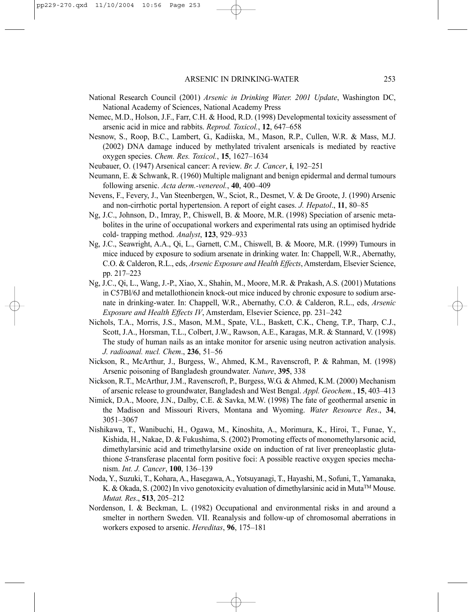- National Research Council (2001) *Arsenic in Drinking Water. 2001 Update*, Washington DC, National Academy of Sciences, National Academy Press
- Nemec, M.D., Holson, J.F., Farr, C.H. & Hood, R.D. (1998) Developmental toxicity assessment of arsenic acid in mice and rabbits. *Reprod. Toxicol.*, **12**, 647–658
- Nesnow, S., Roop, B.C., Lambert, G., Kadiiska, M., Mason, R.P., Cullen, W.R. & Mass, M.J. (2002) DNA damage induced by methylated trivalent arsenicals is mediated by reactive oxygen species. *Chem. Res. Toxicol.*, **15**, 1627–1634
- Neubauer, O. (1947) Arsenical cancer: A review. *Br. J. Cancer*, **i**, 192–251
- Neumann, E. & Schwank, R. (1960) Multiple malignant and benign epidermal and dermal tumours following arsenic. *Acta derm.-venereol.*, **40**, 400–409
- Nevens, F., Fevery, J., Van Steenbergen, W., Sciot, R., Desmet, V. & De Groote, J. (1990) Arsenic and non-cirrhotic portal hypertension. A report of eight cases. *J. Hepatol*., **11**, 80–85
- Ng, J.C., Johnson, D., Imray, P., Chiswell, B. & Moore, M.R. (1998) Speciation of arsenic metabolites in the urine of occupational workers and experimental rats using an optimised hydride cold- trapping method. *Analyst*, **123**, 929–933
- Ng, J.C., Seawright, A.A., Qi, L., Garnett, C.M., Chiswell, B. & Moore, M.R. (1999) Tumours in mice induced by exposure to sodium arsenate in drinking water. In: Chappell, W.R., Abernathy, C.O. & Calderon, R.L., eds, *Arsenic Exposure and Health Effects*, Amsterdam, Elsevier Science, pp. 217–223
- Ng, J.C., Qi, L., Wang, J.-P., Xiao, X., Shahin, M., Moore, M.R. & Prakash, A.S. (2001) Mutations in C57Bl/6J and metallothionein knock-out mice induced by chronic exposure to sodium arsenate in drinking-water. In: Chappell, W.R., Abernathy, C.O. & Calderon, R.L., eds, *Arsenic Exposure and Health Effects IV*, Amsterdam, Elsevier Science, pp. 231–242
- Nichols, T.A., Morris, J.S., Mason, M.M., Spate, V.L., Baskett, C.K., Cheng, T.P., Tharp, C.J., Scott, J.A., Horsman, T.L., Colbert, J.W., Rawson, A.E., Karagas, M.R. & Stannard, V. (1998) The study of human nails as an intake monitor for arsenic using neutron activation analysis. *J. radioanal. nucl. Chem*., **236**, 51–56
- Nickson, R., McArthur, J., Burgess, W., Ahmed, K.M., Ravenscroft, P. & Rahman, M. (1998) Arsenic poisoning of Bangladesh groundwater. *Nature*, **395**, 338
- Nickson, R.T., McArthur, J.M., Ravenscroft, P., Burgess, W.G. & Ahmed, K.M. (2000) Mechanism of arsenic release to groundwater, Bangladesh and West Bengal. *Appl. Geochem.*, **15**, 403–413
- Nimick, D.A., Moore, J.N., Dalby, C.E. & Savka, M.W. (1998) The fate of geothermal arsenic in the Madison and Missouri Rivers, Montana and Wyoming. *Water Resource Res*., **34**, 3051–3067
- Nishikawa, T., Wanibuchi, H., Ogawa, M., Kinoshita, A., Morimura, K., Hiroi, T., Funae, Y., Kishida, H., Nakae, D. & Fukushima, S. (2002) Promoting effects of monomethylarsonic acid, dimethylarsinic acid and trimethylarsine oxide on induction of rat liver preneoplastic glutathione *S*-transferase placental form positive foci: A possible reactive oxygen species mechanism. *Int. J. Cancer*, **100**, 136–139
- Noda, Y., Suzuki, T., Kohara, A., Hasegawa, A., Yotsuyanagi, T., Hayashi, M., Sofuni, T., Yamanaka, K. & Okada, S. (2002) In vivo genotoxicity evaluation of dimethylarsinic acid in Muta<sup>TM</sup> Mouse. *Mutat. Res*., **513**, 205–212
- Nordenson, I. & Beckman, L. (1982) Occupational and environmental risks in and around a smelter in northern Sweden. VII. Reanalysis and follow-up of chromosomal aberrations in workers exposed to arsenic. *Hereditas*, **96**, 175–181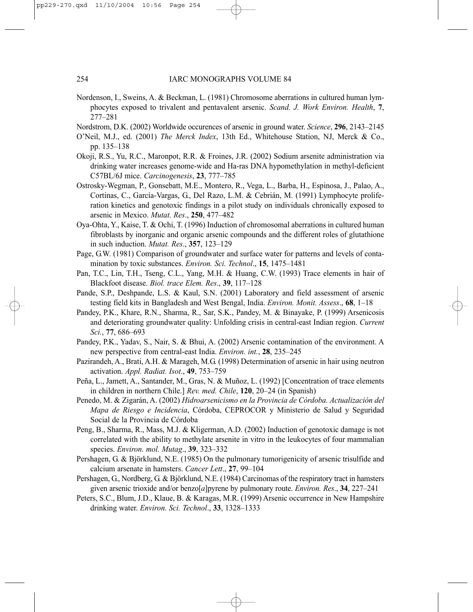- Nordenson, I., Sweins, A. & Beckman, L. (1981) Chromosome aberrations in cultured human lymphocytes exposed to trivalent and pentavalent arsenic. *Scand. J. Work Environ. Health*, **7**, 277–281
- Nordstrom, D.K. (2002) Worldwide occurences of arsenic in ground water. *Science*, **296**, 2143–2145
- O'Neil, M.J., ed. (2001) *The Merck Index*, 13th Ed., Whitehouse Station, NJ, Merck & Co., pp. 135–138
- Okoji, R.S., Yu, R.C., Maronpot, R.R. & Froines, J.R. (2002) Sodium arsenite administration via drinking water increases genome-wide and Ha-ras DNA hypomethylation in methyl-deficient C57BL/6J mice. *Carcinogenesis*, **23**, 777–785
- Ostrosky-Wegman, P., Gonsebatt, M.E., Montero, R., Vega, L., Barba, H., Espinosa, J., Palao, A., Cortinas, C., García-Vargas, G., Del Razo, L.M. & Cebrián, M. (1991) Lymphocyte proliferation kinetics and genotoxic findings in a pilot study on individuals chronically exposed to arsenic in Mexico. *Mutat. Res*., **250**, 477–482
- Oya-Ohta, Y., Kaise, T. & Ochi, T. (1996) Induction of chromosomal aberrations in cultured human fibroblasts by inorganic and organic arsenic compounds and the different roles of glutathione in such induction. *Mutat. Res*., **357**, 123–129
- Page, G.W. (1981) Comparison of groundwater and surface water for patterns and levels of contamination by toxic substances. *Environ. Sci. Technol*., **15**, 1475–1481
- Pan, T.C., Lin, T.H., Tseng, C.L., Yang, M.H. & Huang, C.W. (1993) Trace elements in hair of Blackfoot disease. *Biol. trace Elem. Res*., **39**, 117–128
- Pande, S.P., Deshpande, L.S. & Kaul, S.N. (2001) Laboratory and field assessment of arsenic testing field kits in Bangladesh and West Bengal, India. *Environ. Monit. Assess*., **68**, 1–18
- Pandey, P.K., Khare, R.N., Sharma, R., Sar, S.K., Pandey, M. & Binayake, P. (1999) Arsenicosis and deteriorating groundwater quality: Unfolding crisis in central-east Indian region. *Current Sci.*, **77**, 686–693
- Pandey, P.K., Yadav, S., Nair, S. & Bhui, A. (2002) Arsenic contamination of the environment. A new perspective from central-east India. *Environ. int.*, **28**, 235–245
- Pazirandeh, A., Brati, A.H. & Marageh, M.G. (1998) Determination of arsenic in hair using neutron activation. *Appl. Radiat. Isot*., **49**, 753–759
- Peña, L., Jamett, A., Santander, M., Gras, N. & Muñoz, L. (1992) [Concentration of trace elements in children in northern Chile.] *Rev. med. Chile*, **120**, 20–24 (in Spanish)
- Penedo, M. & Zigarán, A. (2002) *Hidroarsenicismo en la Provincia de Córdoba. Actualización del Mapa de Riesgo e Incidencia*, Córdoba, CEPROCOR y Ministerio de Salud y Seguridad Social de la Provincia de Córdoba
- Peng, B., Sharma, R., Mass, M.J. & Kligerman, A.D. (2002) Induction of genotoxic damage is not correlated with the ability to methylate arsenite in vitro in the leukocytes of four mammalian species. *Environ. mol. Mutag*., **39**, 323–332
- Pershagen, G. & Björklund, N.E. (1985) On the pulmonary tumorigenicity of arsenic trisulfide and calcium arsenate in hamsters. *Cancer Lett*., **27**, 99–104
- Pershagen, G., Nordberg, G. & Björklund, N.E. (1984) Carcinomas of the respiratory tract in hamsters given arsenic trioxide and/or benzo[*a*]pyrene by pulmonary route. *Environ. Res*., **34**, 227–241
- Peters, S.C., Blum, J.D., Klaue, B. & Karagas, M.R. (1999) Arsenic occurrence in New Hampshire drinking water. *Environ. Sci. Technol*., **33**, 1328–1333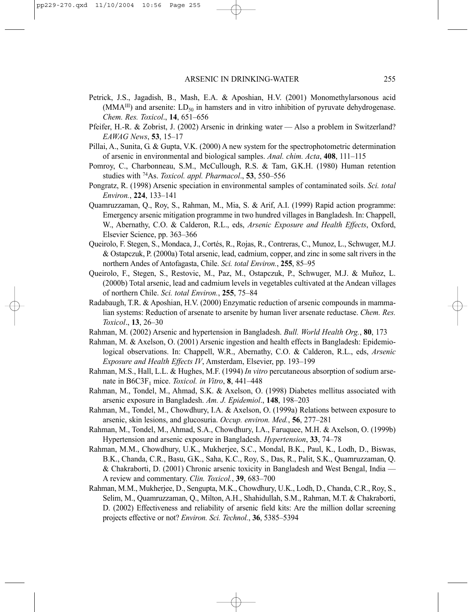- Petrick, J.S., Jagadish, B., Mash, E.A. & Aposhian, H.V. (2001) Monomethylarsonous acid  $(MMA^{III})$  and arsenite:  $LD_{50}$  in hamsters and in vitro inhibition of pyruvate dehydrogenase. *Chem. Res. Toxicol*., **14**, 651–656
- Pfeifer, H.-R. & Zobrist, J. (2002) Arsenic in drinking water Also a problem in Switzerland? *EAWAG News*, **53**, 15–17
- Pillai, A., Sunita, G. & Gupta, V.K. (2000) A new system for the spectrophotometric determination of arsenic in environmental and biological samples. *Anal. chim. Acta*, **408**, 111–115
- Pomroy, C., Charbonneau, S.M., McCullough, R.S. & Tam, G.K.H. (1980) Human retention studies with 74As. *Toxicol. appl. Pharmacol*., **53**, 550–556
- Pongratz, R. (1998) Arsenic speciation in environmental samples of contaminated soils. *Sci. total Environ.*, **224**, 133–141
- Quamruzzaman, Q., Roy, S., Rahman, M., Mia, S. & Arif, A.I. (1999) Rapid action programme: Emergency arsenic mitigation programme in two hundred villages in Bangladesh. In: Chappell, W., Abernathy, C.O. & Calderon, R.L., eds, *Arsenic Exposure and Health Effects*, Oxford, Elsevier Science, pp. 363–366
- Queirolo, F. Stegen, S., Mondaca, J., Cortés, R., Rojas, R., Contreras, C., Munoz, L., Schwuger, M.J. & Ostapczuk, P. (2000a) Total arsenic, lead, cadmium, copper, and zinc in some salt rivers in the northern Andes of Antofagasta, Chile. *Sci. total Environ.*, **255**, 85–95
- Queirolo, F., Stegen, S., Restovic, M., Paz, M., Ostapczuk, P., Schwuger, M.J. & Muñoz, L. (2000b) Total arsenic, lead and cadmium levels in vegetables cultivated at the Andean villages of northern Chile. *Sci. total Environ.*, **255**, 75–84
- Radabaugh, T.R. & Aposhian, H.V. (2000) Enzymatic reduction of arsenic compounds in mammalian systems: Reduction of arsenate to arsenite by human liver arsenate reductase. *Chem. Res. Toxicol*., **13**, 26–30
- Rahman, M. (2002) Arsenic and hypertension in Bangladesh. *Bull. World Health Org.*, **80**, 173
- Rahman, M. & Axelson, O. (2001) Arsenic ingestion and health effects in Bangladesh: Epidemiological observations. In: Chappell, W.R., Abernathy, C.O. & Calderon, R.L., eds, *Arsenic Exposure and Health Effects IV*, Amsterdam, Elsevier, pp. 193–199
- Rahman, M.S., Hall, L.L. & Hughes, M.F. (1994) *In vitro* percutaneous absorption of sodium arsenate in B6C3F1 mice. *Toxicol. in Vitro*, **8**, 441–448
- Rahman, M., Tondel, M., Ahmad, S.K. & Axelson, O. (1998) Diabetes mellitus associated with arsenic exposure in Bangladesh. *Am. J. Epidemiol*., **148**, 198–203
- Rahman, M., Tondel, M., Chowdhury, I.A. & Axelson, O. (1999a) Relations between exposure to arsenic, skin lesions, and glucosuria. *Occup. environ. Med.*, **56**, 277–281
- Rahman, M., Tondel, M., Ahmad, S.A., Chowdhury, I.A., Faruquee, M.H. & Axelson, O. (1999b) Hypertension and arsenic exposure in Bangladesh. *Hypertension*, **33**, 74–78
- Rahman, M.M., Chowdhury, U.K., Mukherjee, S.C., Mondal, B.K., Paul, K., Lodh, D., Biswas, B.K., Chanda, C.R., Basu, G.K., Saha, K.C., Roy, S., Das, R., Palit, S.K., Quamruzzaman, Q. & Chakraborti, D. (2001) Chronic arsenic toxicity in Bangladesh and West Bengal, India — A review and commentary. *Clin. Toxicol.*, **39**, 683–700
- Rahman, M.M., Mukherjee, D., Sengupta, M.K., Chowdhury, U.K., Lodh, D., Chanda, C.R., Roy, S., Selim, M., Quamruzzaman, Q., Milton, A.H., Shahidullah, S.M., Rahman, M.T. & Chakraborti, D. (2002) Effectiveness and reliability of arsenic field kits: Are the million dollar screening projects effective or not? *Environ. Sci. Technol.*, **36**, 5385–5394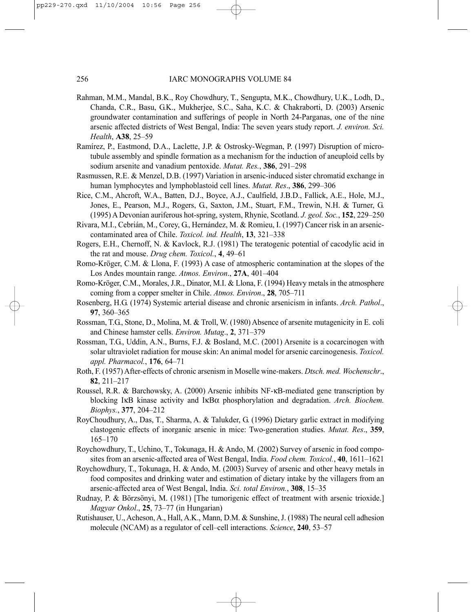- Rahman, M.M., Mandal, B.K., Roy Chowdhury, T., Sengupta, M.K., Chowdhury, U.K., Lodh, D., Chanda, C.R., Basu, G.K., Mukherjee, S.C., Saha, K.C. & Chakraborti, D. (2003) Arsenic groundwater contamination and sufferings of people in North 24-Parganas, one of the nine arsenic affected districts of West Bengal, India: The seven years study report. *J. environ. Sci. Health*, **A38**, 25–59
- Ramírez, P., Eastmond, D.A., Laclette, J.P. & Ostrosky-Wegman, P. (1997) Disruption of microtubule assembly and spindle formation as a mechanism for the induction of aneuploid cells by sodium arsenite and vanadium pentoxide. *Mutat. Res.*, **386**, 291–298
- Rasmussen, R.E. & Menzel, D.B. (1997) Variation in arsenic-induced sister chromatid exchange in human lymphocytes and lymphoblastoid cell lines. *Mutat. Res*., **386**, 299–306
- Rice, C.M., Ahcroft, W.A., Batten, D.J., Boyce, A.J., Caulfield, J.B.D., Fallick, A.E., Hole, M.J., Jones, E., Pearson, M.J., Rogers, G., Saxton, J.M., Stuart, F.M., Trewin, N.H. & Turner, G. (1995) A Devonian auriferous hot-spring, system, Rhynie, Scotland. *J. geol. Soc.*, **152**, 229–250
- Rivara, M.I., Cebrián, M., Corey, G., Hernández, M. & Romieu, I. (1997) Cancer risk in an arseniccontaminated area of Chile. *Toxicol. ind. Health*, **13**, 321–338
- Rogers, E.H., Chernoff, N. & Kavlock, R.J. (1981) The teratogenic potential of cacodylic acid in the rat and mouse. *Drug chem. Toxicol.*, **4**, 49–61
- Romo-Kröger, C.M. & Llona, F. (1993) A case of atmospheric contamination at the slopes of the Los Andes mountain range. *Atmos. Environ*., **27A**, 401–404
- Romo-Kröger, C.M., Morales, J.R., Dinator, M.I. & Llona, F. (1994) Heavy metals in the atmosphere coming from a copper smelter in Chile. *Atmos. Environ*., **28**, 705–711
- Rosenberg, H.G. (1974) Systemic arterial disease and chronic arsenicism in infants. *Arch. Pathol*., **97**, 360–365
- Rossman, T.G., Stone, D., Molina, M. & Troll, W. (1980) Absence of arsenite mutagenicity in E. coli and Chinese hamster cells. *Environ. Mutag*., **2**, 371–379
- Rossman, T.G., Uddin, A.N., Burns, F.J. & Bosland, M.C. (2001) Arsenite is a cocarcinogen with solar ultraviolet radiation for mouse skin: An animal model for arsenic carcinogenesis. *Toxicol. appl. Pharmacol.*, **176**, 64–71
- Roth, F. (1957) After-effects of chronic arsenism in Moselle wine-makers. *Dtsch. med. Wochenschr*., **82**, 211–217
- Roussel, R.R. & Barchowsky, A. (2000) Arsenic inhibits NF-κB-mediated gene transcription by blocking IκB kinase activity and IκBα phosphorylation and degradation. *Arch. Biochem. Biophys.*, **377**, 204–212
- RoyChoudhury, A., Das, T., Sharma, A. & Talukder, G. (1996) Dietary garlic extract in modifying clastogenic effects of inorganic arsenic in mice: Two-generation studies. *Mutat. Res*., **359**, 165–170
- Roychowdhury, T., Uchino, T., Tokunaga, H. & Ando, M. (2002) Survey of arsenic in food composites from an arsenic-affected area of West Bengal, India. *Food chem. Toxicol.*, **40**, 1611–1621
- Roychowdhury, T., Tokunaga, H. & Ando, M. (2003) Survey of arsenic and other heavy metals in food composites and drinking water and estimation of dietary intake by the villagers from an arsenic-affected area of West Bengal, India. *Sci. total Environ.*, **308**, 15–35
- Rudnay, P. & Börzsönyi, M. (1981) [The tumorigenic effect of treatment with arsenic trioxide.] *Magyar Onkol*., **25**, 73–77 (in Hungarian)
- Rutishauser, U., Acheson, A., Hall, A.K., Mann, D.M. & Sunshine, J. (1988) The neural cell adhesion molecule (NCAM) as a regulator of cell–cell interactions. *Science*, **240**, 53–57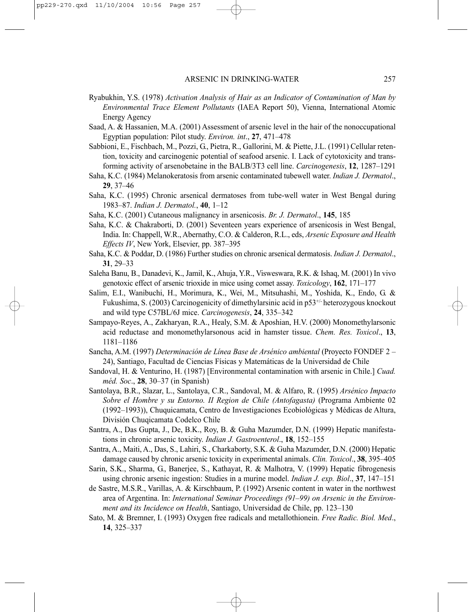- Ryabukhin, Y.S. (1978) *Activation Analysis of Hair as an Indicator of Contamination of Man by Environmental Trace Element Pollutants* (IAEA Report 50), Vienna, International Atomic Energy Agency
- Saad, A. & Hassanien, M.A. (2001) Assessment of arsenic level in the hair of the nonoccupational Egyptian population: Pilot study. *Environ. int*., **27**, 471–478
- Sabbioni, E., Fischbach, M., Pozzi, G., Pietra, R., Gallorini, M. & Piette, J.L. (1991) Cellular retention, toxicity and carcinogenic potential of seafood arsenic. I. Lack of cytotoxicity and transforming activity of arsenobetaine in the BALB/3T3 cell line. *Carcinogenesis*, **12**, 1287–1291
- Saha, K.C. (1984) Melanokeratosis from arsenic contaminated tubewell water. *Indian J. Dermatol*., **29**, 37–46
- Saha, K.C. (1995) Chronic arsenical dermatoses from tube-well water in West Bengal during 1983–87. *Indian J. Dermatol.*, **40**, 1–12
- Saha, K.C. (2001) Cutaneous malignancy in arsenicosis. *Br. J. Dermatol*., **145**, 185
- Saha, K.C. & Chakraborti, D. (2001) Seventeen years experience of arsenicosis in West Bengal, India. In: Chappell, W.R., Abernathy, C.O. & Calderon, R.L., eds, *Arsenic Exposure and Health Effects IV*, New York, Elsevier, pp. 387–395
- Saha, K.C. & Poddar, D. (1986) Further studies on chronic arsenical dermatosis. *Indian J. Dermatol*., **31**, 29–33
- Saleha Banu, B., Danadevi, K., Jamil, K., Ahuja, Y.R., Visweswara, R.K. & Ishaq, M. (2001) In vivo genotoxic effect of arsenic trioxide in mice using comet assay. *Toxicology*, **162**, 171–177
- Salim, E.I., Wanibuchi, H., Morimura, K., Wei, M., Mitsuhashi, M., Yoshida, K., Endo, G. & Fukushima, S. (2003) Carcinogenicity of dimethylarsinic acid in p53<sup>+/-</sup> heterozygous knockout and wild type C57BL/6J mice. *Carcinogenesis*, **24**, 335–342
- Sampayo-Reyes, A., Zakharyan, R.A., Healy, S.M. & Aposhian, H.V. (2000) Monomethylarsonic acid reductase and monomethylarsonous acid in hamster tissue. *Chem. Res. Toxicol*., **13**, 1181–1186
- Sancha, A.M. (1997) *Determinación de Línea Base de Arsénico ambiental* (Proyecto FONDEF 2 24), Santiago, Facultad de Ciencias Físicas y Matemáticas de la Universidad de Chile
- Sandoval, H. & Venturino, H. (1987) [Environmental contamination with arsenic in Chile.] *Cuad. méd. Soc*., **28**, 30–37 (in Spanish)
- Santolaya, B.R., Slazar, L., Santolaya, C.R., Sandoval, M. & Alfaro, R. (1995) *Arsénico Impacto Sobre el Hombre y su Entorno. II Region de Chile (Antofagasta)* (Programa Ambiente 02 (1992–1993)), Chuquicamata, Centro de Investigaciones Ecobiológicas y Médicas de Altura, División Chuqicamata Codelco Chile
- Santra, A., Das Gupta, J., De, B.K., Roy, B. & Guha Mazumder, D.N. (1999) Hepatic manifestations in chronic arsenic toxicity. *Indian J. Gastroenterol*., **18**, 152–155
- Santra, A., Maiti, A., Das, S., Lahiri, S., Charkaborty, S.K. & Guha Mazumder, D.N. (2000) Hepatic damage caused by chronic arsenic toxicity in experimental animals. *Clin. Toxicol*., **38**, 395–405
- Sarin, S.K., Sharma, G., Banerjee, S., Kathayat, R. & Malhotra, V. (1999) Hepatic fibrogenesis using chronic arsenic ingestion: Studies in a murine model. *Indian J. exp. Biol*., **37**, 147–151
- de Sastre, M.S.R., Varillas, A. & Kirschbaum, P. (1992) Arsenic content in water in the northwest area of Argentina. In: *International Seminar Proceedings (91–99) on Arsenic in the Environment and its Incidence on Health*, Santiago, Universidad de Chile, pp. 123–130
- Sato, M. & Bremner, I. (1993) Oxygen free radicals and metallothionein. *Free Radic. Biol. Med*., **14**, 325–337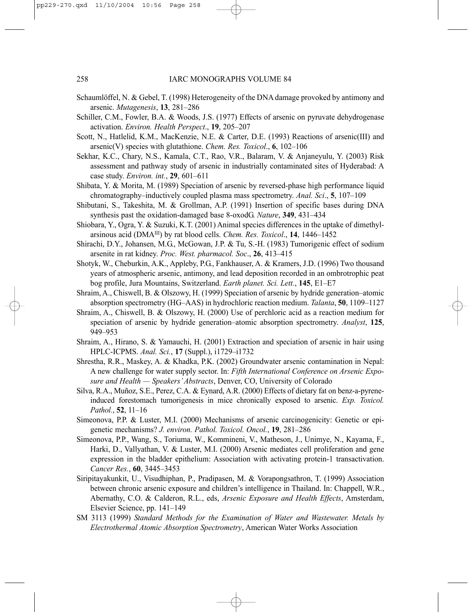- Schaumlöffel, N. & Gebel, T. (1998) Heterogeneity of the DNA damage provoked by antimony and arsenic. *Mutagenesis*, **13**, 281–286
- Schiller, C.M., Fowler, B.A. & Woods, J.S. (1977) Effects of arsenic on pyruvate dehydrogenase activation. *Environ. Health Perspect*., **19**, 205–207
- Scott, N., Hatlelid, K.M., MacKenzie, N.E. & Carter, D.E. (1993) Reactions of arsenic(III) and arsenic(V) species with glutathione. *Chem. Res. Toxicol*., **6**, 102–106
- Sekhar, K.C., Chary, N.S., Kamala, C.T., Rao, V.R., Balaram, V. & Anjaneyulu, Y. (2003) Risk assessment and pathway study of arsenic in industrially contaminated sites of Hyderabad: A case study. *Environ. int.*, **29**, 601–611
- Shibata, Y. & Morita, M. (1989) Speciation of arsenic by reversed-phase high performance liquid chromatography–inductively coupled plasma mass spectrometry. *Anal. Sci*., **5**, 107–109
- Shibutani, S., Takeshita, M. & Grollman, A.P. (1991) Insertion of specific bases during DNA synthesis past the oxidation-damaged base 8-oxodG. *Nature*, **349**, 431–434
- Shiobara, Y., Ogra, Y. & Suzuki, K.T. (2001) Animal species differences in the uptake of dimethylarsinous acid (DMAIII) by rat blood cells. *Chem. Res. Toxicol*., **14**, 1446–1452
- Shirachi, D.Y., Johansen, M.G., McGowan, J.P. & Tu, S.-H. (1983) Tumorigenic effect of sodium arsenite in rat kidney. *Proc. West. pharmacol. Soc*., **26**, 413–415
- Shotyk, W., Cheburkin, A.K., Appleby, P.G., Fankhauser, A. & Kramers, J.D. (1996) Two thousand years of atmospheric arsenic, antimony, and lead deposition recorded in an ombrotrophic peat bog profile, Jura Mountains, Switzerland. *Earth planet. Sci. Lett.*, **145**, E1–E7
- Shraim, A., Chiswell, B. & Olszowy, H. (1999) Speciation of arsenic by hydride generation–atomic absorption spectrometry (HG–AAS) in hydrochloric reaction medium. *Talanta*, **50**, 1109–1127
- Shraim, A., Chiswell, B. & Olszowy, H. (2000) Use of perchloric acid as a reaction medium for speciation of arsenic by hydride generation–atomic absorption spectrometry. *Analyst*, **125**, 949–953
- Shraim, A., Hirano, S. & Yamauchi, H. (2001) Extraction and speciation of arsenic in hair using HPLC-ICPMS. *Anal. Sci.*, **17** (Suppl.), i1729–i1732
- Shrestha, R.R., Maskey, A. & Khadka, P.K. (2002) Groundwater arsenic contamination in Nepal: A new challenge for water supply sector. In: *Fifth International Conference on Arsenic Exposure and Health — Speakers' Abstracts*, Denver, CO, University of Colorado
- Silva, R.A., Muñoz, S.E., Perez, C.A. & Eynard, A.R. (2000) Effects of dietary fat on benz-a-pyreneinduced forestomach tumorigenesis in mice chronically exposed to arsenic. *Exp. Toxicol. Pathol.*, **52**, 11–16
- Simeonova, P.P. & Luster, M.I. (2000) Mechanisms of arsenic carcinogenicity: Genetic or epigenetic mechanisms? *J. environ. Pathol. Toxicol. Oncol.*, **19**, 281–286
- Simeonova, P.P., Wang, S., Toriuma, W., Kommineni, V., Matheson, J., Unimye, N., Kayama, F., Harki, D., Vallyathan, V. & Luster, M.I. (2000) Arsenic mediates cell proliferation and gene expression in the bladder epithelium: Association with activating protein-1 transactivation. *Cancer Res.*, **60**, 3445–3453
- Siripitayakunkit, U., Visudhiphan, P., Pradipasen, M. & Vorapongsathron, T. (1999) Association between chronic arsenic exposure and children's intelligence in Thailand. In: Chappell, W.R., Abernathy, C.O. & Calderon, R.L., eds, *Arsenic Exposure and Health Effects*, Amsterdam, Elsevier Science, pp. 141–149
- SM 3113 (1999) *Standard Methods for the Examination of Water and Wastewater. Metals by Electrothermal Atomic Absorption Spectrometry*, American Water Works Association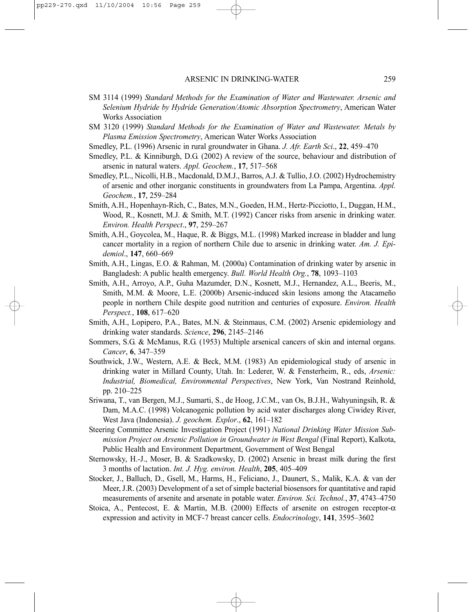- SM 3114 (1999) *Standard Methods for the Examination of Water and Wastewater. Arsenic and Selenium Hydride by Hydride Generation/Atomic Absorption Spectrometry*, American Water Works Association
- SM 3120 (1999) *Standard Methods for the Examination of Water and Wastewater. Metals by Plasma Emission Spectrometry*, American Water Works Association
- Smedley, P.L. (1996) Arsenic in rural groundwater in Ghana. *J. Afr. Earth Sci*., **22**, 459–470
- Smedley, P.L. & Kinniburgh, D.G. (2002) A review of the source, behaviour and distribution of arsenic in natural waters. *Appl. Geochem.*, **17**, 517–568
- Smedley, P.L., Nicolli, H.B., Macdonald, D.M.J., Barros, A.J. & Tullio, J.O. (2002) Hydrochemistry of arsenic and other inorganic constituents in groundwaters from La Pampa, Argentina. *Appl. Geochem.*, **17**, 259–284
- Smith, A.H., Hopenhayn-Rich, C., Bates, M.N., Goeden, H.M., Hertz-Picciotto, I., Duggan, H.M., Wood, R., Kosnett, M.J. & Smith, M.T. (1992) Cancer risks from arsenic in drinking water. *Environ. Health Perspect*., **97**, 259–267
- Smith, A.H., Goycolea, M., Haque, R. & Biggs, M.L. (1998) Marked increase in bladder and lung cancer mortality in a region of northern Chile due to arsenic in drinking water. *Am. J. Epidemiol*., **147**, 660–669
- Smith, A.H., Lingas, E.O. & Rahman, M. (2000a) Contamination of drinking water by arsenic in Bangladesh: A public health emergency. *Bull. World Health Org.*, **78**, 1093–1103
- Smith, A.H., Arroyo, A.P., Guha Mazumder, D.N., Kosnett, M.J., Hernandez, A.L., Beeris, M., Smith, M.M. & Moore, L.E. (2000b) Arsenic-induced skin lesions among the Atacameño people in northern Chile despite good nutrition and centuries of exposure. *Environ. Health Perspect.*, **108**, 617–620
- Smith, A.H., Lopipero, P.A., Bates, M.N. & Steinmaus, C.M. (2002) Arsenic epidemiology and drinking water standards. *Science*, **296**, 2145–2146
- Sommers, S.G. & McManus, R.G. (1953) Multiple arsenical cancers of skin and internal organs. *Cancer*, **6**, 347–359
- Southwick, J.W., Western, A.E. & Beck, M.M. (1983) An epidemiological study of arsenic in drinking water in Millard County, Utah. In: Lederer, W. & Fensterheim, R., eds, *Arsenic: Industrial, Biomedical, Environmental Perspectives*, New York, Van Nostrand Reinhold, pp. 210–225
- Sriwana, T., van Bergen, M.J., Sumarti, S., de Hoog, J.C.M., van Os, B.J.H., Wahyuningsih, R. & Dam, M.A.C. (1998) Volcanogenic pollution by acid water discharges along Ciwidey River, West Java (Indonesia). *J. geochem. Explor*., **62**, 161–182
- Steering Committee Arsenic Investigation Project (1991) *National Drinking Water Mission Submission Project on Arsenic Pollution in Groundwater in West Bengal* (Final Report), Kalkota, Public Health and Environment Department, Government of West Bengal
- Sternowsky, H.-J., Moser, B. & Szadkowsky, D. (2002) Arsenic in breast milk during the first 3 months of lactation. *Int. J. Hyg. environ. Health*, **205**, 405–409
- Stocker, J., Balluch, D., Gsell, M., Harms, H., Feliciano, J., Daunert, S., Malik, K.A. & van der Meer, J.R. (2003) Development of a set of simple bacterial biosensors for quantitative and rapid measurements of arsenite and arsenate in potable water. *Environ. Sci. Technol.*, **37**, 4743–4750
- Stoica, A., Pentecost, E. & Martin, M.B. (2000) Effects of arsenite on estrogen receptor-α expression and activity in MCF-7 breast cancer cells. *Endocrinology*, **141**, 3595–3602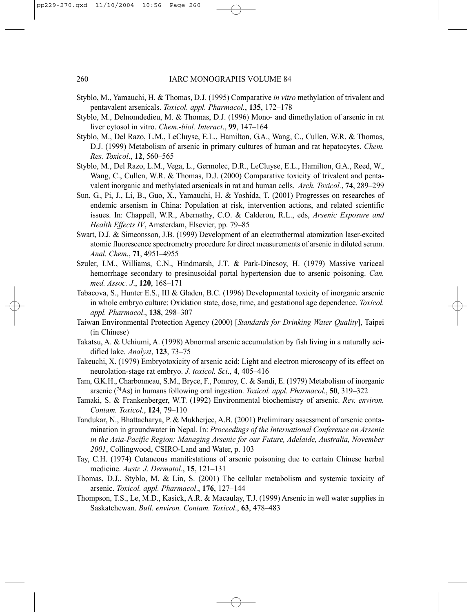- Styblo, M., Yamauchi, H. & Thomas, D.J. (1995) Comparative *in vitro* methylation of trivalent and pentavalent arsenicals. *Toxicol. appl. Pharmacol.*, **135**, 172–178
- Styblo, M., Delnomdedieu, M. & Thomas, D.J. (1996) Mono- and dimethylation of arsenic in rat liver cytosol in vitro. *Chem.-biol. Interact*., **99**, 147–164
- Styblo, M., Del Razo, L.M., LeCluyse, E.L., Hamilton, G.A., Wang, C., Cullen, W.R. & Thomas, D.J. (1999) Metabolism of arsenic in primary cultures of human and rat hepatocytes. *Chem. Res. Toxicol*., **12**, 560–565
- Styblo, M., Del Razo, L.M., Vega, L., Germolec, D.R., LeCluyse, E.L., Hamilton, G.A., Reed, W., Wang, C., Cullen, W.R. & Thomas, D.J. (2000) Comparative toxicity of trivalent and pentavalent inorganic and methylated arsenicals in rat and human cells. *Arch. Toxicol.*, **74**, 289–299
- Sun, G., Pi, J., Li, B., Guo, X., Yamauchi, H. & Yoshida, T. (2001) Progresses on researches of endemic arsenism in China: Population at risk, intervention actions, and related scientific issues. In: Chappell, W.R., Abernathy, C.O. & Calderon, R.L., eds, *Arsenic Exposure and Health Effects IV*, Amsterdam, Elsevier, pp. 79–85
- Swart, D.J. & Simeonsson, J.B. (1999) Development of an electrothermal atomization laser-excited atomic fluorescence spectrometry procedure for direct measurements of arsenic in diluted serum. *Anal. Chem*., **71**, 4951–4955
- Szuler, I.M., Williams, C.N., Hindmarsh, J.T. & Park-Dincsoy, H. (1979) Massive variceal hemorrhage secondary to presinusoidal portal hypertension due to arsenic poisoning. *Can. med. Assoc. J*., **120**, 168–171
- Tabacova, S., Hunter E.S., III & Gladen, B.C. (1996) Developmental toxicity of inorganic arsenic in whole embryo culture: Oxidation state, dose, time, and gestational age dependence. *Toxicol. appl. Pharmacol*., **138**, 298–307
- Taiwan Environmental Protection Agency (2000) [*Standards for Drinking Water Quality*], Taipei (in Chinese)
- Takatsu, A. & Uchiumi, A. (1998) Abnormal arsenic accumulation by fish living in a naturally acidified lake. *Analyst*, **123**, 73–75
- Takeuchi, X. (1979) Embryotoxicity of arsenic acid: Light and electron microscopy of its effect on neurolation-stage rat embryo. *J. toxicol. Sci*., **4**, 405–416
- Tam, G.K.H., Charbonneau, S.M., Bryce, F., Pomroy, C. & Sandi, E. (1979) Metabolism of inorganic arsenic (74As) in humans following oral ingestion. *Toxicol. appl. Pharmacol*., **50**, 319–322
- Tamaki, S. & Frankenberger, W.T. (1992) Environmental biochemistry of arsenic. *Rev. environ. Contam. Toxicol.*, **124**, 79–110
- Tandukar, N., Bhattacharya, P. & Mukherjee, A.B. (2001) Preliminary assessment of arsenic contamination in groundwater in Nepal. In: *Proceedings of the International Conference on Arsenic in the Asia-Pacific Region: Managing Arsenic for our Future, Adelaide, Australia, November 2001*, Collingwood, CSIRO-Land and Water, p. 103
- Tay, C.H. (1974) Cutaneous manifestations of arsenic poisoning due to certain Chinese herbal medicine. *Austr. J. Dermatol*., **15**, 121–131
- Thomas, D.J., Styblo, M. & Lin, S. (2001) The cellular metabolism and systemic toxicity of arsenic. *Toxicol. appl. Pharmacol*., **176**, 127–144
- Thompson, T.S., Le, M.D., Kasick, A.R. & Macaulay, T.J. (1999) Arsenic in well water supplies in Saskatchewan. *Bull. environ. Contam. Toxicol*., **63**, 478–483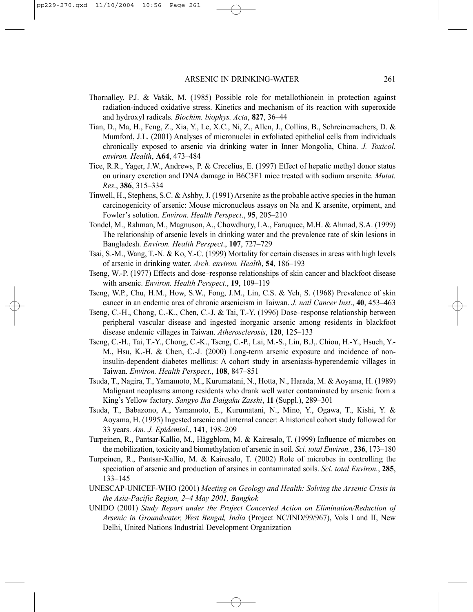- Thornalley, P.J. & Vašák, M. (1985) Possible role for metallothionein in protection against radiation-induced oxidative stress. Kinetics and mechanism of its reaction with superoxide and hydroxyl radicals. *Biochim. biophys. Acta*, **827**, 36–44
- Tian, D., Ma, H., Feng, Z., Xia, Y., Le, X.C., Ni, Z., Allen, J., Collins, B., Schreinemachers, D. & Mumford, J.L. (2001) Analyses of micronuclei in exfoliated epithelial cells from individuals chronically exposed to arsenic via drinking water in Inner Mongolia, China. *J. Toxicol. environ. Health*, **A64**, 473–484
- Tice, R.R., Yager, J.W., Andrews, P. & Crecelius, E. (1997) Effect of hepatic methyl donor status on urinary excretion and DNA damage in B6C3F1 mice treated with sodium arsenite. *Mutat. Res*., **386**, 315–334
- Tinwell, H., Stephens, S.C. & Ashby, J. (1991) Arsenite as the probable active species in the human carcinogenicity of arsenic: Mouse micronucleus assays on Na and K arsenite, orpiment, and Fowler's solution. *Environ. Health Perspect*., **95**, 205–210
- Tondel, M., Rahman, M., Magnuson, A., Chowdhury, I.A., Faruquee, M.H. & Ahmad, S.A. (1999) The relationship of arsenic levels in drinking water and the prevalence rate of skin lesions in Bangladesh. *Environ. Health Perspect*., **107**, 727–729
- Tsai, S.-M., Wang, T.-N. & Ko, Y.-C. (1999) Mortality for certain diseases in areas with high levels of arsenic in drinking water. *Arch. environ. Health*, **54**, 186–193
- Tseng, W.-P. (1977) Effects and dose–response relationships of skin cancer and blackfoot disease with arsenic. *Environ. Health Perspect*., **19**, 109–119
- Tseng, W.P., Chu, H.M., How, S.W., Fong, J.M., Lin, C.S. & Yeh, S. (1968) Prevalence of skin cancer in an endemic area of chronic arsenicism in Taiwan. *J. natl Cancer Inst*., **40**, 453–463
- Tseng, C.-H., Chong, C.-K., Chen, C.-J. & Tai, T.-Y. (1996) Dose–response relationship between peripheral vascular disease and ingested inorganic arsenic among residents in blackfoot disease endemic villages in Taiwan. *Atherosclerosis*, **120**, 125–133
- Tseng, C.-H., Tai, T.-Y., Chong, C.-K., Tseng, C.-P., Lai, M.-S., Lin, B.J,. Chiou, H.-Y., Hsueh, Y.- M., Hsu, K.-H. & Chen, C.-J. (2000) Long-term arsenic exposure and incidence of noninsulin-dependent diabetes mellitus: A cohort study in arseniasis-hyperendemic villages in Taiwan. *Environ. Health Perspect*., **108**, 847–851
- Tsuda, T., Nagira, T., Yamamoto, M., Kurumatani, N., Hotta, N., Harada, M. & Aoyama, H. (1989) Malignant neoplasms among residents who drank well water contaminated by arsenic from a King's Yellow factory. *Sangyo Ika Daigaku Zasshi*, **11** (Suppl.), 289–301
- Tsuda, T., Babazono, A., Yamamoto, E., Kurumatani, N., Mino, Y., Ogawa, T., Kishi, Y. & Aoyama, H. (1995) Ingested arsenic and internal cancer: A historical cohort study followed for 33 years. *Am. J. Epidemiol*., **141**, 198–209
- Turpeinen, R., Pantsar-Kallio, M., Häggblom, M. & Kairesalo, T. (1999) Influence of microbes on the mobilization, toxicity and biomethylation of arsenic in soil. *Sci. total Environ.*, **236**, 173–180
- Turpeinen, R., Pantsar-Kallio, M. & Kairesalo, T. (2002) Role of microbes in controlling the speciation of arsenic and production of arsines in contaminated soils. *Sci. total Environ.*, **285**, 133–145
- UNESCAP-UNICEF-WHO (2001) *Meeting on Geology and Health: Solving the Arsenic Crisis in the Asia-Pacific Region, 2–4 May 2001, Bangkok*
- UNIDO (2001) *Study Report under the Project Concerted Action on Elimination/Reduction of Arsenic in Groundwater, West Bengal, India* (Project NC/IND/99/967), Vols I and II, New Delhi, United Nations Industrial Development Organization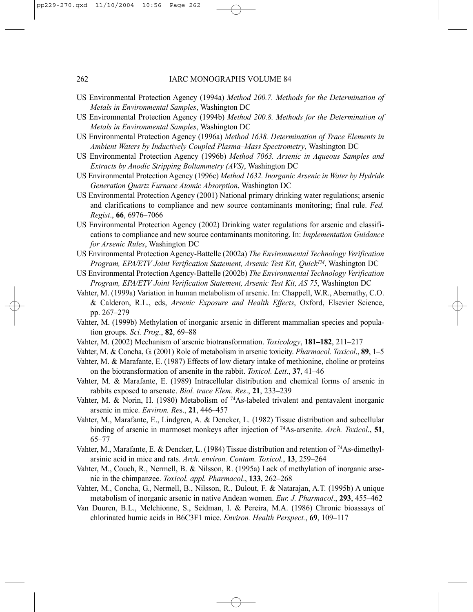- US Environmental Protection Agency (1994a) *Method 200.7. Methods for the Determination of Metals in Environmental Samples*, Washington DC
- US Environmental Protection Agency (1994b) *Method 200.8. Methods for the Determination of Metals in Environmental Samples*, Washington DC
- US Environmental Protection Agency (1996a) *Method 1638. Determination of Trace Elements in Ambient Waters by Inductively Coupled Plasma–Mass Spectrometry*, Washington DC
- US Environmental Protection Agency (1996b) *Method 7063. Arsenic in Aqueous Samples and Extracts by Anodic Stripping Boltammetry (AVS)*, Washington DC
- US Environmental Protection Agency (1996c) *Method 1632. Inorganic Arsenic in Water by Hydride Generation Quartz Furnace Atomic Absorption*, Washington DC
- US Environmental Protection Agency (2001) National primary drinking water regulations; arsenic and clarifications to compliance and new source contaminants monitoring; final rule. *Fed. Regist*., **66**, 6976–7066
- US Environmental Protection Agency (2002) Drinking water regulations for arsenic and classifications to compliance and new source contaminants monitoring. In: *Implementation Guidance for Arsenic Rules*, Washington DC
- US Environmental Protection Agency-Battelle (2002a) *The Environmental Technology Verification Program, EPA/ETV Joint Verification Statement, Arsenic Test Kit, QuickTM*, Washington DC
- US Environmental Protection Agency-Battelle (2002b) *The Environmental Technology Verification Program, EPA/ETV Joint Verification Statement, Arsenic Test Kit, AS 75*, Washington DC
- Vahter, M. (1999a) Variation in human metabolism of arsenic. In: Chappell, W.R., Abernathy, C.O. & Calderon, R.L., eds, *Arsenic Exposure and Health Effects*, Oxford, Elsevier Science, pp. 267–279
- Vahter, M. (1999b) Methylation of inorganic arsenic in different mammalian species and population groups. *Sci. Prog*., **82**, 69–88
- Vahter, M. (2002) Mechanism of arsenic biotransformation. *Toxicology*, **181–182**, 211–217
- Vahter, M. & Concha, G. (2001) Role of metabolism in arsenic toxicity. *Pharmacol. Toxicol*., **89**, 1–5
- Vahter, M. & Marafante, E. (1987) Effects of low dietary intake of methionine, choline or proteins on the biotransformation of arsenite in the rabbit. *Toxicol. Lett*., **37**, 41–46
- Vahter, M. & Marafante, E. (1989) Intracellular distribution and chemical forms of arsenic in rabbits exposed to arsenate. *Biol. trace Elem. Res*., **21**, 233–239
- Vahter, M. & Norin, H. (1980) Metabolism of  $^{74}$ As-labeled trivalent and pentavalent inorganic arsenic in mice. *Environ. Re*s., **21**, 446–457
- Vahter, M., Marafante, E., Lindgren, A. & Dencker, L. (1982) Tissue distribution and subcellular binding of arsenic in marmoset monkeys after injection of 74As-arsenite. *Arch. Toxicol*., **51**, 65–77
- Vahter, M., Marafante, E. & Dencker, L. (1984) Tissue distribution and retention of 74As-dimethylarsinic acid in mice and rats. *Arch. environ. Contam. Toxicol.*, **13**, 259–264
- Vahter, M., Couch, R., Nermell, B. & Nilsson, R. (1995a) Lack of methylation of inorganic arsenic in the chimpanzee. *Toxicol. appl. Pharmacol*., **133**, 262–268
- Vahter, M., Concha, G., Nermell, B., Nilsson, R., Dulout, F. & Natarajan, A.T. (1995b) A unique metabolism of inorganic arsenic in native Andean women. *Eur. J. Pharmacol*., **293**, 455–462
- Van Duuren, B.L., Melchionne, S., Seidman, I. & Pereira, M.A. (1986) Chronic bioassays of chlorinated humic acids in B6C3F1 mice. *Environ. Health Perspect.*, **69**, 109–117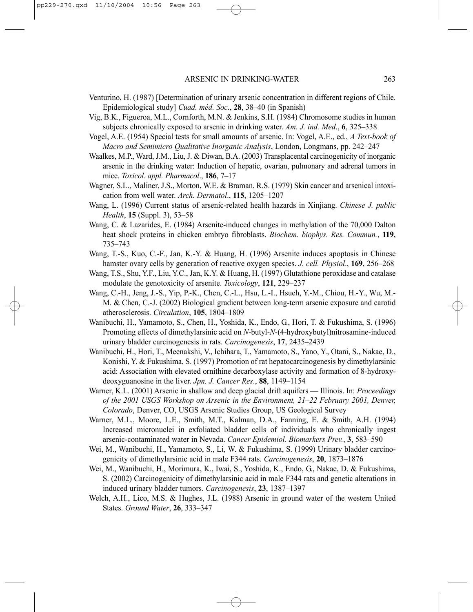- Venturino, H. (1987) [Determination of urinary arsenic concentration in different regions of Chile. Epidemiological study] *Cuad. méd. Soc*., **28**, 38–40 (in Spanish)
- Vig, B.K., Figueroa, M.L., Cornforth, M.N. & Jenkins, S.H. (1984) Chromosome studies in human subjects chronically exposed to arsenic in drinking water. *Am. J. ind. Med*., **6**, 325–338
- Vogel, A.E. (1954) Special tests for small amounts of arsenic. In: Vogel, A.E., ed*.*, *A Text-book of Macro and Semimicro Qualitative Inorganic Analysis*, London, Longmans, pp. 242–247
- Waalkes, M.P., Ward, J.M., Liu, J. & Diwan, B.A. (2003) Transplacental carcinogenicity of inorganic arsenic in the drinking water: Induction of hepatic, ovarian, pulmonary and adrenal tumors in mice. *Toxicol. appl. Pharmacol*., **186**, 7–17
- Wagner, S.L., Maliner, J.S., Morton, W.E. & Braman, R.S. (1979) Skin cancer and arsenical intoxication from well water. *Arch. Dermatol*., **115**, 1205–1207
- Wang, L. (1996) Current status of arsenic-related health hazards in Xinjiang. *Chinese J. public Health*, **15** (Suppl. 3), 53–58
- Wang, C. & Lazarides, E. (1984) Arsenite-induced changes in methylation of the 70,000 Dalton heat shock proteins in chicken embryo fibroblasts. *Biochem. biophys. Res. Commun.*, **119**, 735–743
- Wang, T.-S., Kuo, C.-F., Jan, K.-Y. & Huang, H. (1996) Arsenite induces apoptosis in Chinese hamster ovary cells by generation of reactive oxygen species. *J. cell. Physiol*., **169**, 256–268
- Wang, T.S., Shu, Y.F., Liu, Y.C., Jan, K.Y. & Huang, H. (1997) Glutathione peroxidase and catalase modulate the genotoxicity of arsenite. *Toxicology*, **121**, 229–237
- Wang, C.-H., Jeng, J.-S., Yip, P.-K., Chen, C.-L., Hsu, L.-I., Hsueh, Y.-M., Chiou, H.-Y., Wu, M.- M. & Chen, C.-J. (2002) Biological gradient between long-term arsenic exposure and carotid atherosclerosis. *Circulation*, **105**, 1804–1809
- Wanibuchi, H., Yamamoto, S., Chen, H., Yoshida, K., Endo, G., Hori, T. & Fukushima, S. (1996) Promoting effects of dimethylarsinic acid on *N*-butyl-*N*-(4-hydroxybutyl)nitrosamine-induced urinary bladder carcinogenesis in rats. *Carcinogenesis*, **17**, 2435–2439
- Wanibuchi, H., Hori, T., Meenakshi, V., Ichihara, T., Yamamoto, S., Yano, Y., Otani, S., Nakae, D., Konishi, Y. & Fukushima, S. (1997) Promotion of rat hepatocarcinogenesis by dimethylarsinic acid: Association with elevated ornithine decarboxylase activity and formation of 8-hydroxydeoxyguanosine in the liver. *Jpn. J. Cancer Res*., **88**, 1149–1154
- Warner, K.L. (2001) Arsenic in shallow and deep glacial drift aquifers Illinois. In: *Proceedings of the 2001 USGS Workshop on Arsenic in the Environment, 21–22 February 2001, Denver, Colorado*, Denver, CO, USGS Arsenic Studies Group, US Geological Survey
- Warner, M.L., Moore, L.E., Smith, M.T., Kalman, D.A., Fanning, E. & Smith, A.H. (1994) Increased micronuclei in exfoliated bladder cells of individuals who chronically ingest arsenic-contaminated water in Nevada. *Cancer Epidemiol. Biomarkers Prev.*, **3**, 583–590
- Wei, M., Wanibuchi, H., Yamamoto, S., Li, W. & Fukushima, S. (1999) Urinary bladder carcinogenicity of dimethylarsinic acid in male F344 rats. *Carcinogenesis*, **20**, 1873–1876
- Wei, M., Wanibuchi, H., Morimura, K., Iwai, S., Yoshida, K., Endo, G., Nakae, D. & Fukushima, S. (2002) Carcinogenicity of dimethylarsinic acid in male F344 rats and genetic alterations in induced urinary bladder tumors. *Carcinogenesis*, **23**, 1387–1397
- Welch, A.H., Lico, M.S. & Hughes, J.L. (1988) Arsenic in ground water of the western United States. *Ground Water*, **26**, 333–347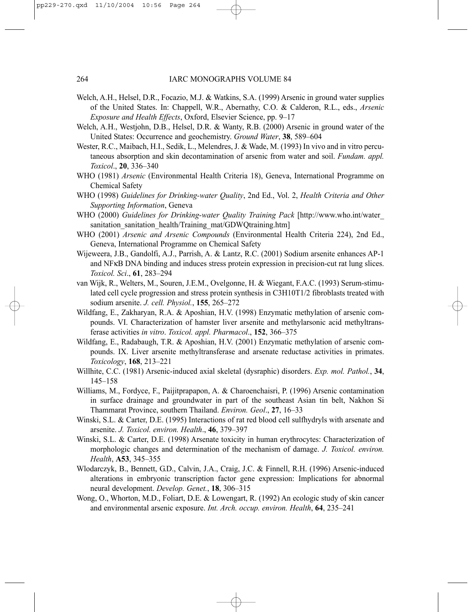- Welch, A.H., Helsel, D.R., Focazio, M.J. & Watkins, S.A. (1999) Arsenic in ground water supplies of the United States. In: Chappell, W.R., Abernathy, C.O. & Calderon, R.L., eds., *Arsenic Exposure and Health Effects*, Oxford, Elsevier Science, pp. 9–17
- Welch, A.H., Westjohn, D.B., Helsel, D.R. & Wanty, R.B. (2000) Arsenic in ground water of the United States: Occurrence and geochemistry. *Ground Water*, **38**, 589–604
- Wester, R.C., Maibach, H.I., Sedik, L., Melendres, J. & Wade, M. (1993) In vivo and in vitro percutaneous absorption and skin decontamination of arsenic from water and soil. *Fundam. appl. Toxicol*., **20**, 336–340
- WHO (1981) *Arsenic* (Environmental Health Criteria 18), Geneva, International Programme on Chemical Safety
- WHO (1998) *Guidelines for Drinking-water Quality*, 2nd Ed., Vol. 2, *Health Criteria and Other Supporting Information*, Geneva
- WHO (2000) *Guidelines for Drinking-water Quality Training Pack* [http://www.who.int/water\_ sanitation\_sanitation\_health/Training\_mat/GDWQtraining.html
- WHO (2001) *Arsenic and Arsenic Compounds* (Environmental Health Criteria 224), 2nd Ed., Geneva, International Programme on Chemical Safety
- Wijeweera, J.B., Gandolfi, A.J., Parrish, A. & Lantz, R.C. (2001) Sodium arsenite enhances AP-1 and NFκB DNA binding and induces stress protein expression in precision-cut rat lung slices. *Toxicol. Sci*., **61**, 283–294
- van Wijk, R., Welters, M., Souren, J.E.M., Ovelgonne, H. & Wiegant, F.A.C. (1993) Serum-stimulated cell cycle progression and stress protein synthesis in C3H10T1/2 fibroblasts treated with sodium arsenite. *J. cell. Physiol.*, **155**, 265–272
- Wildfang, E., Zakharyan, R.A. & Aposhian, H.V. (1998) Enzymatic methylation of arsenic compounds. VI. Characterization of hamster liver arsenite and methylarsonic acid methyltransferase activities *in vitro*. *Toxicol. appl. Pharmacol*., **152**, 366–375
- Wildfang, E., Radabaugh, T.R. & Aposhian, H.V. (2001) Enzymatic methylation of arsenic compounds. IX. Liver arsenite methyltransferase and arsenate reductase activities in primates. *Toxicology*, **168**, 213–221
- Willhite, C.C. (1981) Arsenic-induced axial skeletal (dysraphic) disorders. *Exp. mol. Pathol.*, **34**, 145–158
- Williams, M., Fordyce, F., Paijitprapapon, A. & Charoenchaisri, P. (1996) Arsenic contamination in surface drainage and groundwater in part of the southeast Asian tin belt, Nakhon Si Thammarat Province, southern Thailand. *Environ. Geol*., **27**, 16–33
- Winski, S.L. & Carter, D.E. (1995) Interactions of rat red blood cell sulfhydryls with arsenate and arsenite. *J. Toxicol. environ. Health*., **46**, 379–397
- Winski, S.L. & Carter, D.E. (1998) Arsenate toxicity in human erythrocytes: Characterization of morphologic changes and determination of the mechanism of damage. *J. Toxicol. environ. Health*, **A53**, 345–355
- Wlodarczyk, B., Bennett, G.D., Calvin, J.A., Craig, J.C. & Finnell, R.H. (1996) Arsenic-induced alterations in embryonic transcription factor gene expression: Implications for abnormal neural development. *Develop. Genet.*, **18**, 306–315
- Wong, O., Whorton, M.D., Foliart, D.E. & Lowengart, R. (1992) An ecologic study of skin cancer and environmental arsenic exposure. *Int. Arch. occup. environ. Health*, **64**, 235–241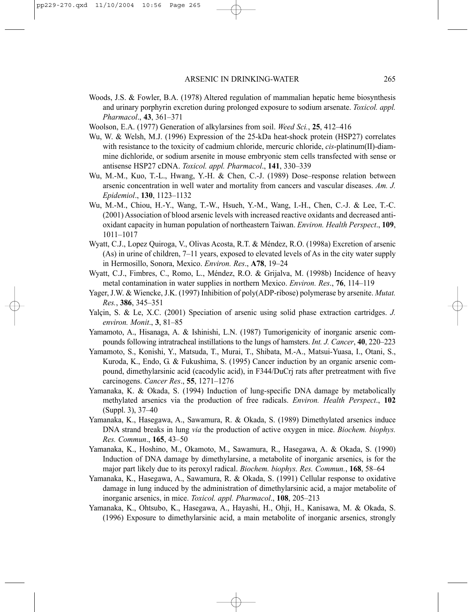- Woods, J.S. & Fowler, B.A. (1978) Altered regulation of mammalian hepatic heme biosynthesis and urinary porphyrin excretion during prolonged exposure to sodium arsenate. *Toxicol. appl. Pharmacol*., **43**, 361–371
- Woolson, E.A. (1977) Generation of alkylarsines from soil. *Weed Sci.*, **25**, 412–416
- Wu, W. & Welsh, M.J. (1996) Expression of the 25-kDa heat-shock protein (HSP27) correlates with resistance to the toxicity of cadmium chloride, mercuric chloride, *cis*-platinum(II)-diammine dichloride, or sodium arsenite in mouse embryonic stem cells transfected with sense or antisense HSP27 cDNA. *Toxicol. appl. Pharmacol*., **141**, 330–339
- Wu, M.-M., Kuo, T.-L., Hwang, Y.-H. & Chen, C.-J. (1989) Dose–response relation between arsenic concentration in well water and mortality from cancers and vascular diseases. *Am. J. Epidemiol*., **130**, 1123–1132
- Wu, M.-M., Chiou, H.-Y., Wang, T.-W., Hsueh, Y.-M., Wang, I.-H., Chen, C.-J. & Lee, T.-C. (2001) Association of blood arsenic levels with increased reactive oxidants and decreased antioxidant capacity in human population of northeastern Taiwan. *Environ. Health Perspect*., **109**, 1011–1017
- Wyatt, C.J., Lopez Quiroga, V., Olivas Acosta, R.T. & Méndez, R.O. (1998a) Excretion of arsenic (As) in urine of children, 7–11 years, exposed to elevated levels of As in the city water supply in Hermosillo, Sonora, Mexico. *Environ. Res*., **A78**, 19–24
- Wyatt, C.J., Fimbres, C., Romo, L., Méndez, R.O. & Grijalva, M. (1998b) Incidence of heavy metal contamination in water supplies in northern Mexico. *Environ. Res*., **76**, 114–119
- Yager, J.W. & Wiencke, J.K. (1997) Inhibition of poly(ADP-ribose) polymerase by arsenite. *Mutat. Res.*, **386**, 345–351
- Yalçin, S. & Le, X.C. (2001) Speciation of arsenic using solid phase extraction cartridges. *J. environ. Monit*., **3**, 81–85
- Yamamoto, A., Hisanaga, A. & Ishinishi, L.N. (1987) Tumorigenicity of inorganic arsenic compounds following intratracheal instillations to the lungs of hamsters. *Int. J. Cancer*, **40**, 220–223
- Yamamoto, S., Konishi, Y., Matsuda, T., Murai, T., Shibata, M.-A., Matsui-Yuasa, I., Otani, S., Kuroda, K., Endo, G. & Fukushima, S. (1995) Cancer induction by an organic arsenic compound, dimethylarsinic acid (cacodylic acid), in F344/DuCrj rats after pretreatment with five carcinogens. *Cancer Res*., **55**, 1271–1276
- Yamanaka, K. & Okada, S. (1994) Induction of lung-specific DNA damage by metabolically methylated arsenics via the production of free radicals. *Environ. Health Perspect*., **102** (Suppl. 3), 37–40
- Yamanaka, K., Hasegawa, A., Sawamura, R. & Okada, S. (1989) Dimethylated arsenics induce DNA strand breaks in lung *via* the production of active oxygen in mice. *Biochem. biophys. Res. Commun*., **165**, 43–50
- Yamanaka, K., Hoshino, M., Okamoto, M., Sawamura, R., Hasegawa, A. & Okada, S. (1990) Induction of DNA damage by dimethylarsine, a metabolite of inorganic arsenics, is for the major part likely due to its peroxyl radical. *Biochem. biophys. Res. Commun.*, **168**, 58–64
- Yamanaka, K., Hasegawa, A., Sawamura, R. & Okada, S. (1991) Cellular response to oxidative damage in lung induced by the administration of dimethylarsinic acid, a major metabolite of inorganic arsenics, in mice. *Toxicol. appl. Pharmacol*., **108**, 205–213
- Yamanaka, K., Ohtsubo, K., Hasegawa, A., Hayashi, H., Ohji, H., Kanisawa, M. & Okada, S. (1996) Exposure to dimethylarsinic acid, a main metabolite of inorganic arsenics, strongly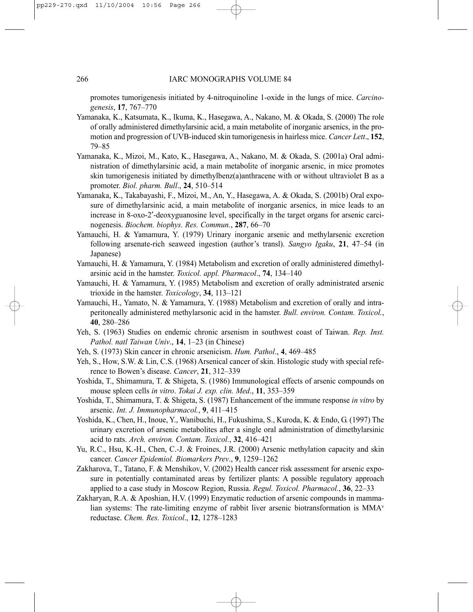promotes tumorigenesis initiated by 4-nitroquinoline 1-oxide in the lungs of mice. *Carcinogenesis*, **17**, 767–770

- Yamanaka, K., Katsumata, K., Ikuma, K., Hasegawa, A., Nakano, M. & Okada, S. (2000) The role of orally administered dimethylarsinic acid, a main metabolite of inorganic arsenics, in the promotion and progression of UVB-induced skin tumorigenesis in hairless mice. *Cancer Lett*., **152**, 79–85
- Yamanaka, K., Mizoi, M., Kato, K., Hasegawa, A., Nakano, M. & Okada, S. (2001a) Oral administration of dimethylarsinic acid, a main metabolite of inorganic arsenic, in mice promotes skin tumorigenesis initiated by dimethylbenz(a)anthracene with or without ultraviolet B as a promoter. *Biol. pharm. Bull*., **24**, 510–514
- Yamanaka, K., Takabayashi, F., Mizoi, M., An, Y., Hasegawa, A. & Okada, S. (2001b) Oral exposure of dimethylarsinic acid, a main metabolite of inorganic arsenics, in mice leads to an increase in 8-oxo-2′-deoxyguanosine level, specifically in the target organs for arsenic carcinogenesis. *Biochem. biophys. Res. Commun.*, **287**, 66–70
- Yamauchi, H. & Yamamura, Y. (1979) Urinary inorganic arsenic and methylarsenic excretion following arsenate-rich seaweed ingestion (author's transl). *Sangyo Igaku*, **21**, 47–54 (in Japanese)
- Yamauchi, H. & Yamamura, Y. (1984) Metabolism and excretion of orally administered dimethylarsinic acid in the hamster. *Toxicol. appl. Pharmacol*., **74**, 134–140
- Yamauchi, H. & Yamamura, Y. (1985) Metabolism and excretion of orally administrated arsenic trioxide in the hamster. *Toxicology*, **34**, 113–121
- Yamauchi, H., Yamato, N. & Yamamura, Y. (1988) Metabolism and excretion of orally and intraperitoneally administered methylarsonic acid in the hamster. *Bull. environ. Contam. Toxicol.*, **40**, 280–286
- Yeh, S. (1963) Studies on endemic chronic arsenism in southwest coast of Taiwan. *Rep. Inst. Pathol. natl Taiwan Univ*., **14**, 1–23 (in Chinese)
- Yeh, S. (1973) Skin cancer in chronic arsenicism. *Hum. Pathol*., **4**, 469–485
- Yeh, S., How, S.W. & Lin, C.S. (1968) Arsenical cancer of skin. Histologic study with special reference to Bowen's disease. *Cancer*, **21**, 312–339
- Yoshida, T., Shimamura, T. & Shigeta, S. (1986) Immunological effects of arsenic compounds on mouse spleen cells *in vitro*. *Tokai J. exp. clin. Med*., **11**, 353–359
- Yoshida, T., Shimamura, T. & Shigeta, S. (1987) Enhancement of the immune response *in vitro* by arsenic. *Int. J. Immunopharmacol.*, **9**, 411–415
- Yoshida, K., Chen, H., Inoue, Y., Wanibuchi, H., Fukushima, S., Kuroda, K. & Endo, G. (1997) The urinary excretion of arsenic metabolites after a single oral administration of dimethylarsinic acid to rats. *Arch. environ. Contam. Toxicol.*, **32**, 416–421
- Yu, R.C., Hsu, K.-H., Chen, C.-J. & Froines, J.R. (2000) Arsenic methylation capacity and skin cancer. *Cancer Epidemiol. Biomarkers Prev*., **9**, 1259–1262
- Zakharova, T., Tatano, F. & Menshikov, V. (2002) Health cancer risk assessment for arsenic exposure in potentially contaminated areas by fertilizer plants: A possible regulatory approach applied to a case study in Moscow Region, Russia. *Regul. Toxicol. Pharmacol.*, **36**, 22–33
- Zakharyan, R.A. & Aposhian, H.V. (1999) Enzymatic reduction of arsenic compounds in mammalian systems: The rate-limiting enzyme of rabbit liver arsenic biotransformation is MMAv reductase. *Chem. Res. Toxicol*., **12**, 1278–1283